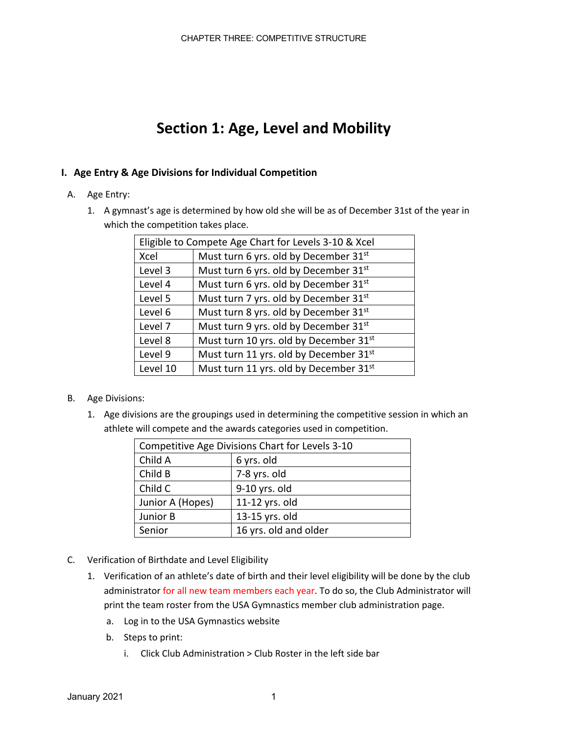# **Section 1: Age, Level and Mobility**

### **I. Age Entry & Age Divisions for Individual Competition**

- A. Age Entry:
	- 1. A gymnast's age is determined by how old she will be as of December 31st of the year in which the competition takes place.

| Eligible to Compete Age Chart for Levels 3-10 & Xcel |                                                    |  |  |  |
|------------------------------------------------------|----------------------------------------------------|--|--|--|
| Xcel                                                 | Must turn 6 yrs. old by December 31st              |  |  |  |
| Level 3                                              | Must turn 6 yrs. old by December 31st              |  |  |  |
| Level 4                                              | Must turn 6 yrs. old by December 31st              |  |  |  |
| Level 5                                              | Must turn 7 yrs. old by December 31st              |  |  |  |
| Level 6                                              | Must turn 8 yrs. old by December 31st              |  |  |  |
| Level 7                                              | Must turn 9 yrs. old by December 31st              |  |  |  |
| Level 8                                              | Must turn 10 yrs. old by December 31 <sup>st</sup> |  |  |  |
| Level 9                                              | Must turn 11 yrs. old by December 31st             |  |  |  |
| Level 10                                             | Must turn 11 yrs. old by December 31st             |  |  |  |

- B. Age Divisions:
	- 1. Age divisions are the groupings used in determining the competitive session in which an athlete will compete and the awards categories used in competition.

| Competitive Age Divisions Chart for Levels 3-10 |                       |  |  |
|-------------------------------------------------|-----------------------|--|--|
| Child A                                         | 6 yrs. old            |  |  |
| Child B                                         | 7-8 yrs. old          |  |  |
| Child C                                         | 9-10 yrs. old         |  |  |
| Junior A (Hopes)                                | 11-12 yrs. old        |  |  |
| Junior B                                        | 13-15 yrs. old        |  |  |
| Senior                                          | 16 yrs. old and older |  |  |

- C. Verification of Birthdate and Level Eligibility
	- 1. Verification of an athlete's date of birth and their level eligibility will be done by the club administrator for all new team members each year. To do so, the Club Administrator will print the team roster from the USA Gymnastics member club administration page.
		- a. Log in to the USA Gymnastics website
		- b. Steps to print:
			- i. Click Club Administration > Club Roster in the left side bar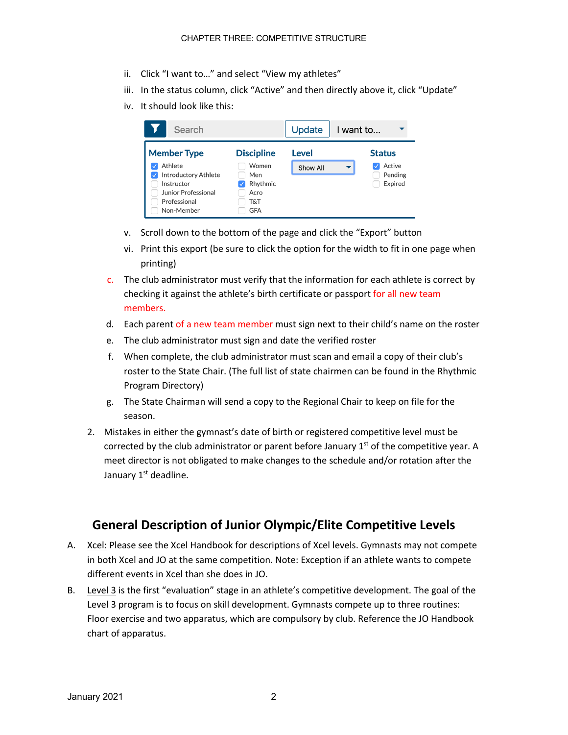- ii. Click "I want to…" and select "View my athletes"
- iii. In the status column, click "Active" and then directly above it, click "Update"
- iv. It should look like this:

| Search                                                                                                                               |                                                                            | Update            | I want to                                          |
|--------------------------------------------------------------------------------------------------------------------------------------|----------------------------------------------------------------------------|-------------------|----------------------------------------------------|
| <b>Member Type</b><br>Athlete<br><b>Introductory Athlete</b><br>√<br>Instructor<br>Junior Professional<br>Professional<br>Non-Member | <b>Discipline</b><br>Women<br>Men<br>Rhythmic<br>Acro<br>T&T<br><b>GFA</b> | Level<br>Show All | <b>Status</b><br>Active<br>▼<br>Pending<br>Expired |

- v. Scroll down to the bottom of the page and click the "Export" button
- vi. Print this export (be sure to click the option for the width to fit in one page when printing)
- c. The club administrator must verify that the information for each athlete is correct by checking it against the athlete's birth certificate or passport for all new team members.
- d. Each parent of a new team member must sign next to their child's name on the roster
- e. The club administrator must sign and date the verified roster
- f. When complete, the club administrator must scan and email a copy of their club's roster to the State Chair. (The full list of state chairmen can be found in the Rhythmic Program Directory)
- g. The State Chairman will send a copy to the Regional Chair to keep on file for the season.
- 2. Mistakes in either the gymnast's date of birth or registered competitive level must be corrected by the club administrator or parent before January  $1<sup>st</sup>$  of the competitive year. A meet director is not obligated to make changes to the schedule and/or rotation after the January 1<sup>st</sup> deadline.

## **General Description of Junior Olympic/Elite Competitive Levels**

- A. Xcel: Please see the Xcel Handbook for descriptions of Xcel levels. Gymnasts may not compete in both Xcel and JO at the same competition. Note: Exception if an athlete wants to compete different events in Xcel than she does in JO.
- B. Level 3 is the first "evaluation" stage in an athlete's competitive development. The goal of the Level 3 program is to focus on skill development. Gymnasts compete up to three routines: Floor exercise and two apparatus, which are compulsory by club. Reference the JO Handbook chart of apparatus.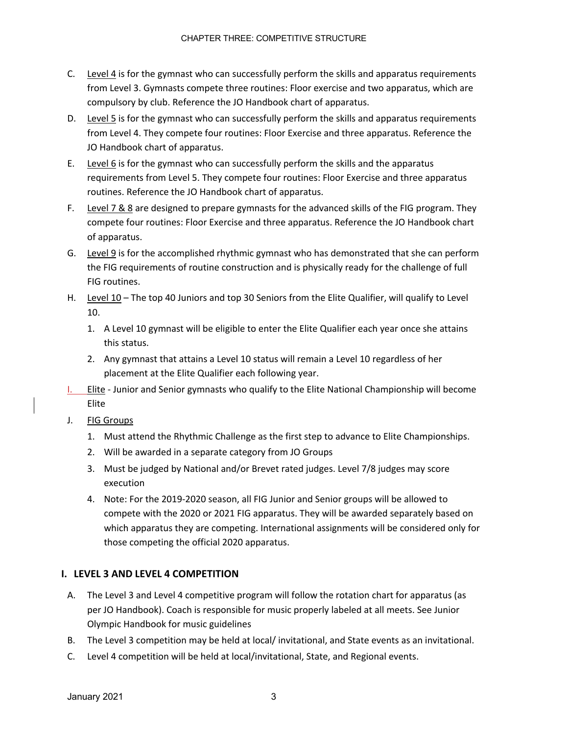- C. Level 4 is for the gymnast who can successfully perform the skills and apparatus requirements from Level 3. Gymnasts compete three routines: Floor exercise and two apparatus, which are compulsory by club. Reference the JO Handbook chart of apparatus.
- D. Level 5 is for the gymnast who can successfully perform the skills and apparatus requirements from Level 4. They compete four routines: Floor Exercise and three apparatus. Reference the JO Handbook chart of apparatus.
- E. Level  $6$  is for the gymnast who can successfully perform the skills and the apparatus requirements from Level 5. They compete four routines: Floor Exercise and three apparatus routines. Reference the JO Handbook chart of apparatus.
- F. Level 7 & 8 are designed to prepare gymnasts for the advanced skills of the FIG program. They compete four routines: Floor Exercise and three apparatus. Reference the JO Handbook chart of apparatus.
- G. Level 9 is for the accomplished rhythmic gymnast who has demonstrated that she can perform the FIG requirements of routine construction and is physically ready for the challenge of full FIG routines.
- H. Level 10 The top 40 Juniors and top 30 Seniors from the Elite Qualifier, will qualify to Level 10.
	- 1. A Level 10 gymnast will be eligible to enter the Elite Qualifier each year once she attains this status.
	- 2. Any gymnast that attains a Level 10 status will remain a Level 10 regardless of her placement at the Elite Qualifier each following year.
- I. Elite Junior and Senior gymnasts who qualify to the Elite National Championship will become Elite
- J. FIG Groups
	- 1. Must attend the Rhythmic Challenge as the first step to advance to Elite Championships.
	- 2. Will be awarded in a separate category from JO Groups
	- 3. Must be judged by National and/or Brevet rated judges. Level 7/8 judges may score execution
	- 4. Note: For the 2019-2020 season, all FIG Junior and Senior groups will be allowed to compete with the 2020 or 2021 FIG apparatus. They will be awarded separately based on which apparatus they are competing. International assignments will be considered only for those competing the official 2020 apparatus.

### **I. LEVEL 3 AND LEVEL 4 COMPETITION**

- A. The Level 3 and Level 4 competitive program will follow the rotation chart for apparatus (as per JO Handbook). Coach is responsible for music properly labeled at all meets. See Junior Olympic Handbook for music guidelines
- B. The Level 3 competition may be held at local/ invitational, and State events as an invitational.
- C. Level 4 competition will be held at local/invitational, State, and Regional events.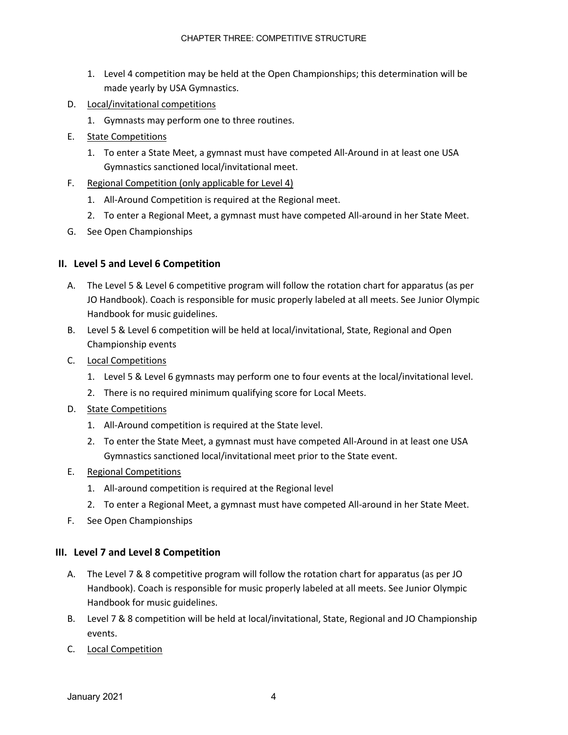- 1. Level 4 competition may be held at the Open Championships; this determination will be made yearly by USA Gymnastics.
- D. Local/invitational competitions
	- 1. Gymnasts may perform one to three routines.
- E. State Competitions
	- 1. To enter a State Meet, a gymnast must have competed All-Around in at least one USA Gymnastics sanctioned local/invitational meet.
- F. Regional Competition (only applicable for Level 4)
	- 1. All-Around Competition is required at the Regional meet.
	- 2. To enter a Regional Meet, a gymnast must have competed All-around in her State Meet.
- G. See Open Championships

#### **II. Level 5 and Level 6 Competition**

- A. The Level 5 & Level 6 competitive program will follow the rotation chart for apparatus (as per JO Handbook). Coach is responsible for music properly labeled at all meets. See Junior Olympic Handbook for music guidelines.
- B. Level 5 & Level 6 competition will be held at local/invitational, State, Regional and Open Championship events
- C. Local Competitions
	- 1. Level 5 & Level 6 gymnasts may perform one to four events at the local/invitational level.
	- 2. There is no required minimum qualifying score for Local Meets.
- D. State Competitions
	- 1. All-Around competition is required at the State level.
	- 2. To enter the State Meet, a gymnast must have competed All-Around in at least one USA Gymnastics sanctioned local/invitational meet prior to the State event.
- E. Regional Competitions
	- 1. All-around competition is required at the Regional level
	- 2. To enter a Regional Meet, a gymnast must have competed All-around in her State Meet.
- F. See Open Championships

#### **III. Level 7 and Level 8 Competition**

- A. The Level 7 & 8 competitive program will follow the rotation chart for apparatus (as per JO Handbook). Coach is responsible for music properly labeled at all meets. See Junior Olympic Handbook for music guidelines.
- B. Level 7 & 8 competition will be held at local/invitational, State, Regional and JO Championship events.
- C. Local Competition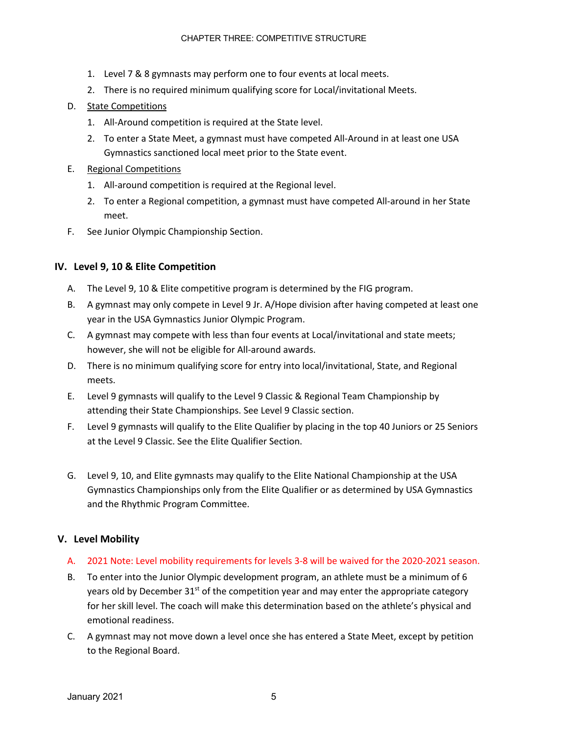- 1. Level 7 & 8 gymnasts may perform one to four events at local meets.
- 2. There is no required minimum qualifying score for Local/invitational Meets.
- D. State Competitions
	- 1. All-Around competition is required at the State level.
	- 2. To enter a State Meet, a gymnast must have competed All-Around in at least one USA Gymnastics sanctioned local meet prior to the State event.
- E. Regional Competitions
	- 1. All-around competition is required at the Regional level.
	- 2. To enter a Regional competition, a gymnast must have competed All-around in her State meet.
- F. See Junior Olympic Championship Section.

#### **IV. Level 9, 10 & Elite Competition**

- A. The Level 9, 10 & Elite competitive program is determined by the FIG program.
- B. A gymnast may only compete in Level 9 Jr. A/Hope division after having competed at least one year in the USA Gymnastics Junior Olympic Program.
- C. A gymnast may compete with less than four events at Local/invitational and state meets; however, she will not be eligible for All-around awards.
- D. There is no minimum qualifying score for entry into local/invitational, State, and Regional meets.
- E. Level 9 gymnasts will qualify to the Level 9 Classic & Regional Team Championship by attending their State Championships. See Level 9 Classic section.
- F. Level 9 gymnasts will qualify to the Elite Qualifier by placing in the top 40 Juniors or 25 Seniors at the Level 9 Classic. See the Elite Qualifier Section.
- G. Level 9, 10, and Elite gymnasts may qualify to the Elite National Championship at the USA Gymnastics Championships only from the Elite Qualifier or as determined by USA Gymnastics and the Rhythmic Program Committee.

#### **V. Level Mobility**

- A. 2021 Note: Level mobility requirements for levels 3-8 will be waived for the 2020-2021 season.
- B. To enter into the Junior Olympic development program, an athlete must be a minimum of 6 years old by December  $31<sup>st</sup>$  of the competition year and may enter the appropriate category for her skill level. The coach will make this determination based on the athlete's physical and emotional readiness.
- C. A gymnast may not move down a level once she has entered a State Meet, except by petition to the Regional Board.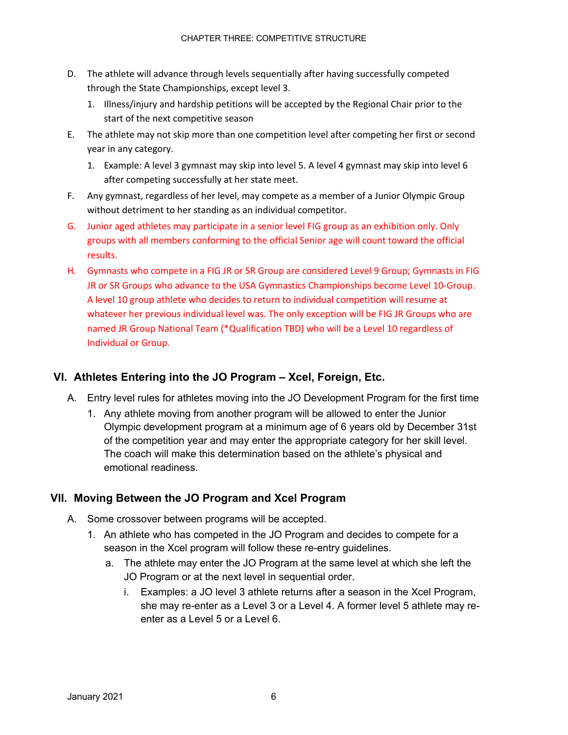- D. The athlete will advance through levels sequentially after having successfully competed through the State Championships, except level 3.
	- 1. Illness/injury and hardship petitions will be accepted by the Regional Chair prior to the start of the next competitive season
- E. The athlete may not skip more than one competition level after competing her first or second year in any category.
	- 1. Example: A level 3 gymnast may skip into level 5. A level 4 gymnast may skip into level 6 after competing successfully at her state meet.
- F. Any gymnast, regardless of her level, may compete as a member of a Junior Olympic Group without detriment to her standing as an individual competitor.
- G. Junior aged athletes may participate in a senior level FIG group as an exhibition only. Only groups with all members conforming to the official Senior age will count toward the official results.
- H. Gymnasts who compete in a FIG JR or SR Group are considered Level 9 Group; Gymnasts in FIG JR or SR Groups who advance to the USA Gymnastics Championships become Level 10-Group. A level 10 group athlete who decides to return to individual competition will resume at whatever her previous individual level was. The only exception will be FIG JR Groups who are named JR Group National Team (\*Qualification TBD) who will be a Level 10 regardless of Individual or Group.

## **VI. Athletes Entering into the JO Program – Xcel, Foreign, Etc.**

- A. Entry level rules for athletes moving into the JO Development Program for the first time
	- 1. Any athlete moving from another program will be allowed to enter the Junior Olympic development program at a minimum age of 6 years old by December 31st of the competition year and may enter the appropriate category for her skill level. The coach will make this determination based on the athlete's physical and emotional readiness.

## **VII. Moving Between the JO Program and Xcel Program**

- A. Some crossover between programs will be accepted.
	- 1. An athlete who has competed in the JO Program and decides to compete for a season in the Xcel program will follow these re-entry guidelines.
		- a. The athlete may enter the JO Program at the same level at which she left the JO Program or at the next level in sequential order.
			- i. Examples: a JO level 3 athlete returns after a season in the Xcel Program, she may re-enter as a Level 3 or a Level 4. A former level 5 athlete may reenter as a Level 5 or a Level 6.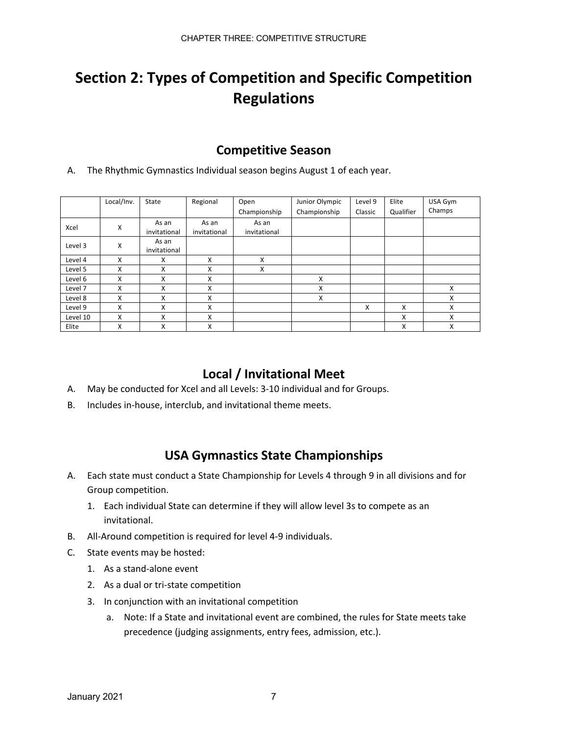# **Section 2: Types of Competition and Specific Competition Regulations**

## **Competitive Season**

A. The Rhythmic Gymnastics Individual season begins August 1 of each year.

|          | Local/Inv. | State                 | Regional              | Open                  | Junior Olympic | Level 9 | Elite     | USA Gym |
|----------|------------|-----------------------|-----------------------|-----------------------|----------------|---------|-----------|---------|
|          |            |                       |                       | Championship          | Championship   | Classic | Qualifier | Champs  |
| Xcel     | Χ          | As an<br>invitational | As an<br>invitational | As an<br>invitational |                |         |           |         |
| Level 3  | X          | As an<br>invitational |                       |                       |                |         |           |         |
| Level 4  | X          | X                     | X                     | X                     |                |         |           |         |
| Level 5  | X          | X                     | X                     | X                     |                |         |           |         |
| Level 6  | X          | X                     | X                     |                       | X              |         |           |         |
| Level 7  | X          | X                     | X                     |                       | X              |         |           | X       |
| Level 8  | X          | X                     | X                     |                       | X              |         |           | X       |
| Level 9  | X          | X                     | X                     |                       |                | X       | X         | X       |
| Level 10 | X          | X                     | X                     |                       |                |         | X         | X       |
| Elite    | X          | X                     | X                     |                       |                |         | X         | X       |

## **Local / Invitational Meet**

- A. May be conducted for Xcel and all Levels: 3-10 individual and for Groups.
- B. Includes in-house, interclub, and invitational theme meets.

## **USA Gymnastics State Championships**

- A. Each state must conduct a State Championship for Levels 4 through 9 in all divisions and for Group competition.
	- 1. Each individual State can determine if they will allow level 3s to compete as an invitational.
- B. All-Around competition is required for level 4-9 individuals.
- C. State events may be hosted:
	- 1. As a stand-alone event
	- 2. As a dual or tri-state competition
	- 3. In conjunction with an invitational competition
		- a. Note: If a State and invitational event are combined, the rules for State meets take precedence (judging assignments, entry fees, admission, etc.).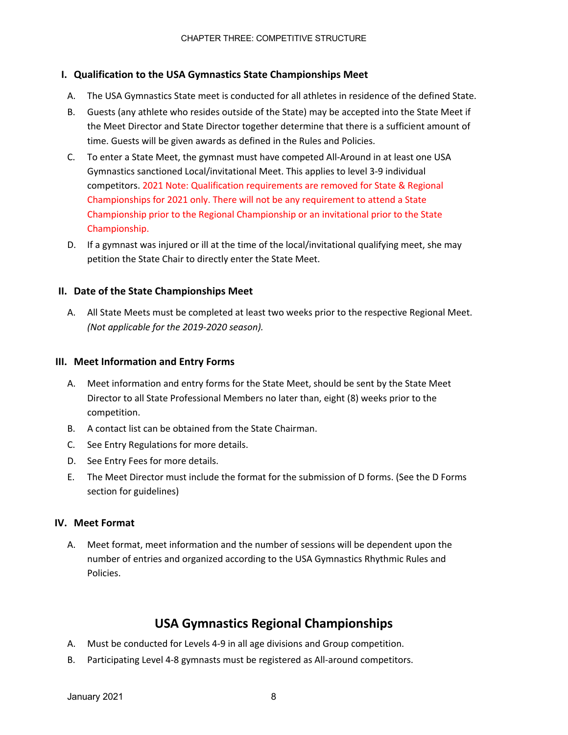### **I. Qualification to the USA Gymnastics State Championships Meet**

- A. The USA Gymnastics State meet is conducted for all athletes in residence of the defined State.
- B. Guests (any athlete who resides outside of the State) may be accepted into the State Meet if the Meet Director and State Director together determine that there is a sufficient amount of time. Guests will be given awards as defined in the Rules and Policies.
- C. To enter a State Meet, the gymnast must have competed All-Around in at least one USA Gymnastics sanctioned Local/invitational Meet. This applies to level 3-9 individual competitors. 2021 Note: Qualification requirements are removed for State & Regional Championships for 2021 only. There will not be any requirement to attend a State Championship prior to the Regional Championship or an invitational prior to the State Championship.
- D. If a gymnast was injured or ill at the time of the local/invitational qualifying meet, she may petition the State Chair to directly enter the State Meet.

#### **II. Date of the State Championships Meet**

A. All State Meets must be completed at least two weeks prior to the respective Regional Meet. *(Not applicable for the 2019-2020 season).*

#### **III. Meet Information and Entry Forms**

- A. Meet information and entry forms for the State Meet, should be sent by the State Meet Director to all State Professional Members no later than, eight (8) weeks prior to the competition.
- B. A contact list can be obtained from the State Chairman.
- C. See Entry Regulations for more details.
- D. See Entry Fees for more details.
- E. The Meet Director must include the format for the submission of D forms. (See the D Forms section for guidelines)

#### **IV. Meet Format**

A. Meet format, meet information and the number of sessions will be dependent upon the number of entries and organized according to the USA Gymnastics Rhythmic Rules and Policies.

## **USA Gymnastics Regional Championships**

- A. Must be conducted for Levels 4-9 in all age divisions and Group competition.
- B. Participating Level 4-8 gymnasts must be registered as All-around competitors.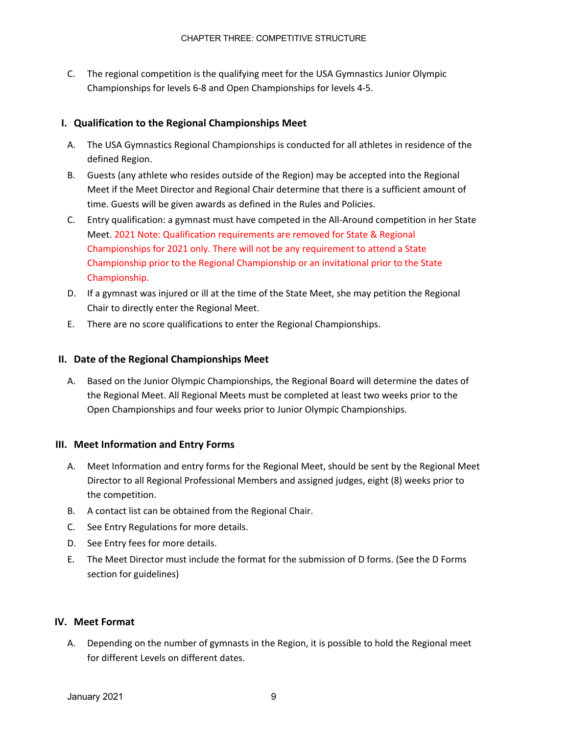C. The regional competition is the qualifying meet for the USA Gymnastics Junior Olympic Championships for levels 6-8 and Open Championships for levels 4-5.

#### **I. Qualification to the Regional Championships Meet**

- A. The USA Gymnastics Regional Championships is conducted for all athletes in residence of the defined Region.
- B. Guests (any athlete who resides outside of the Region) may be accepted into the Regional Meet if the Meet Director and Regional Chair determine that there is a sufficient amount of time. Guests will be given awards as defined in the Rules and Policies.
- C. Entry qualification: a gymnast must have competed in the All-Around competition in her State Meet. 2021 Note: Qualification requirements are removed for State & Regional Championships for 2021 only. There will not be any requirement to attend a State Championship prior to the Regional Championship or an invitational prior to the State Championship.
- D. If a gymnast was injured or ill at the time of the State Meet, she may petition the Regional Chair to directly enter the Regional Meet.
- E. There are no score qualifications to enter the Regional Championships.

#### **II. Date of the Regional Championships Meet**

A. Based on the Junior Olympic Championships, the Regional Board will determine the dates of the Regional Meet. All Regional Meets must be completed at least two weeks prior to the Open Championships and four weeks prior to Junior Olympic Championships.

#### **III. Meet Information and Entry Forms**

- A. Meet Information and entry forms for the Regional Meet, should be sent by the Regional Meet Director to all Regional Professional Members and assigned judges, eight (8) weeks prior to the competition.
- B. A contact list can be obtained from the Regional Chair.
- C. See Entry Regulations for more details.
- D. See Entry fees for more details.
- E. The Meet Director must include the format for the submission of D forms. (See the D Forms section for guidelines)

#### **IV. Meet Format**

A. Depending on the number of gymnasts in the Region, it is possible to hold the Regional meet for different Levels on different dates.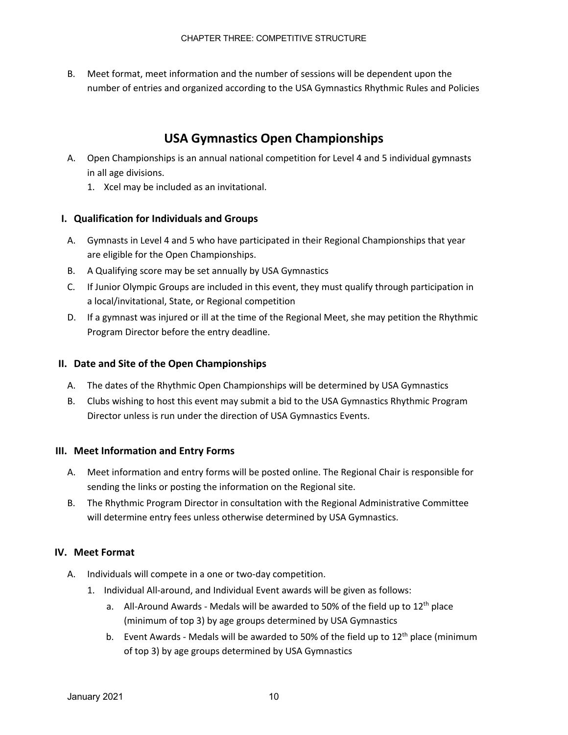B. Meet format, meet information and the number of sessions will be dependent upon the number of entries and organized according to the USA Gymnastics Rhythmic Rules and Policies

## **USA Gymnastics Open Championships**

- A. Open Championships is an annual national competition for Level 4 and 5 individual gymnasts in all age divisions.
	- 1. Xcel may be included as an invitational.

### **I. Qualification for Individuals and Groups**

- A. Gymnasts in Level 4 and 5 who have participated in their Regional Championships that year are eligible for the Open Championships.
- B. A Qualifying score may be set annually by USA Gymnastics
- C. If Junior Olympic Groups are included in this event, they must qualify through participation in a local/invitational, State, or Regional competition
- D. If a gymnast was injured or ill at the time of the Regional Meet, she may petition the Rhythmic Program Director before the entry deadline.

### **II. Date and Site of the Open Championships**

- A. The dates of the Rhythmic Open Championships will be determined by USA Gymnastics
- B. Clubs wishing to host this event may submit a bid to the USA Gymnastics Rhythmic Program Director unless is run under the direction of USA Gymnastics Events.

#### **III. Meet Information and Entry Forms**

- A. Meet information and entry forms will be posted online. The Regional Chair is responsible for sending the links or posting the information on the Regional site.
- B. The Rhythmic Program Director in consultation with the Regional Administrative Committee will determine entry fees unless otherwise determined by USA Gymnastics.

#### **IV. Meet Format**

- A. Individuals will compete in a one or two-day competition.
	- 1. Individual All-around, and Individual Event awards will be given as follows:
		- a. All-Around Awards Medals will be awarded to 50% of the field up to  $12<sup>th</sup>$  place (minimum of top 3) by age groups determined by USA Gymnastics
		- b. Event Awards Medals will be awarded to 50% of the field up to  $12<sup>th</sup>$  place (minimum of top 3) by age groups determined by USA Gymnastics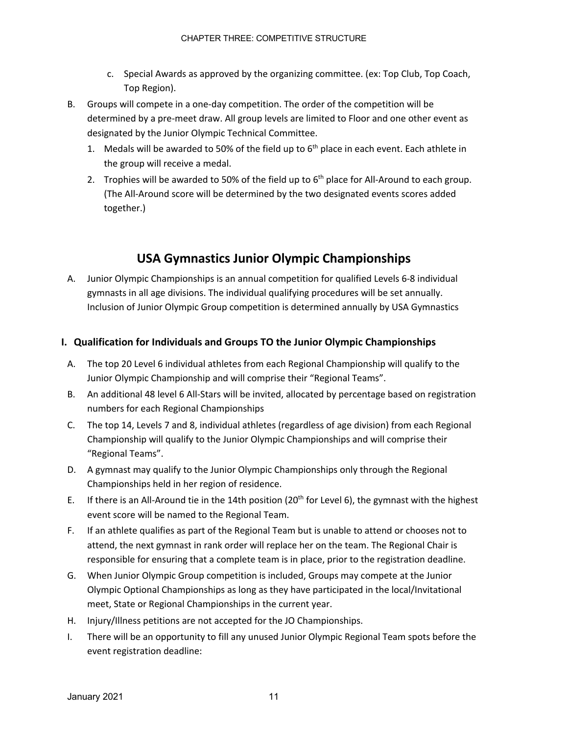- c. Special Awards as approved by the organizing committee. (ex: Top Club, Top Coach, Top Region).
- B. Groups will compete in a one-day competition. The order of the competition will be determined by a pre-meet draw. All group levels are limited to Floor and one other event as designated by the Junior Olympic Technical Committee.
	- 1. Medals will be awarded to 50% of the field up to  $6<sup>th</sup>$  place in each event. Each athlete in the group will receive a medal.
	- 2. Trophies will be awarded to 50% of the field up to  $6<sup>th</sup>$  place for All-Around to each group. (The All-Around score will be determined by the two designated events scores added together.)

## **USA Gymnastics Junior Olympic Championships**

A. Junior Olympic Championships is an annual competition for qualified Levels 6-8 individual gymnasts in all age divisions. The individual qualifying procedures will be set annually. Inclusion of Junior Olympic Group competition is determined annually by USA Gymnastics

## **I. Qualification for Individuals and Groups TO the Junior Olympic Championships**

- A. The top 20 Level 6 individual athletes from each Regional Championship will qualify to the Junior Olympic Championship and will comprise their "Regional Teams".
- B. An additional 48 level 6 All-Stars will be invited, allocated by percentage based on registration numbers for each Regional Championships
- C. The top 14, Levels 7 and 8, individual athletes (regardless of age division) from each Regional Championship will qualify to the Junior Olympic Championships and will comprise their "Regional Teams".
- D. A gymnast may qualify to the Junior Olympic Championships only through the Regional Championships held in her region of residence.
- E. If there is an All-Around tie in the 14th position (20<sup>th</sup> for Level 6), the gymnast with the highest event score will be named to the Regional Team.
- F. If an athlete qualifies as part of the Regional Team but is unable to attend or chooses not to attend, the next gymnast in rank order will replace her on the team. The Regional Chair is responsible for ensuring that a complete team is in place, prior to the registration deadline.
- G. When Junior Olympic Group competition is included, Groups may compete at the Junior Olympic Optional Championships as long as they have participated in the local/Invitational meet, State or Regional Championships in the current year.
- H. Injury/Illness petitions are not accepted for the JO Championships.
- I. There will be an opportunity to fill any unused Junior Olympic Regional Team spots before the event registration deadline: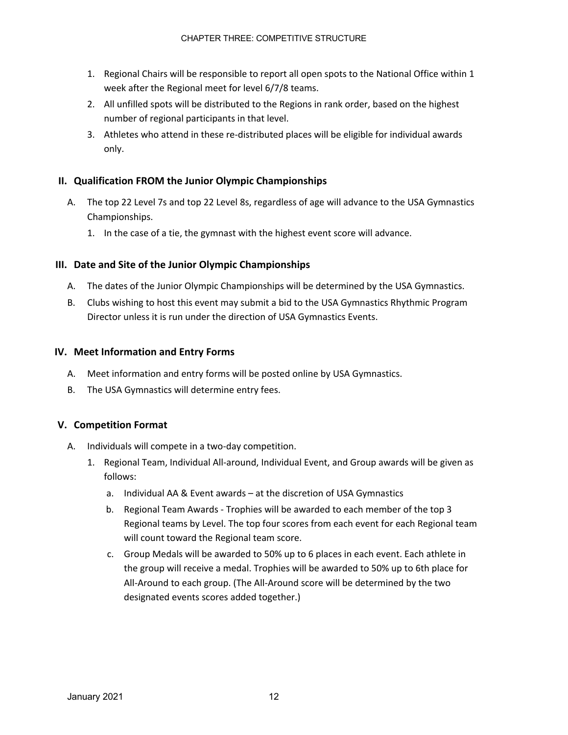- 1. Regional Chairs will be responsible to report all open spots to the National Office within 1 week after the Regional meet for level 6/7/8 teams.
- 2. All unfilled spots will be distributed to the Regions in rank order, based on the highest number of regional participants in that level.
- 3. Athletes who attend in these re-distributed places will be eligible for individual awards only.

### **II. Qualification FROM the Junior Olympic Championships**

- A. The top 22 Level 7s and top 22 Level 8s, regardless of age will advance to the USA Gymnastics Championships.
	- 1. In the case of a tie, the gymnast with the highest event score will advance.

### **III. Date and Site of the Junior Olympic Championships**

- A. The dates of the Junior Olympic Championships will be determined by the USA Gymnastics.
- B. Clubs wishing to host this event may submit a bid to the USA Gymnastics Rhythmic Program Director unless it is run under the direction of USA Gymnastics Events.

#### **IV. Meet Information and Entry Forms**

- A. Meet information and entry forms will be posted online by USA Gymnastics.
- B. The USA Gymnastics will determine entry fees.

#### **V. Competition Format**

- A. Individuals will compete in a two-day competition.
	- 1. Regional Team, Individual All-around, Individual Event, and Group awards will be given as follows:
		- a. Individual AA & Event awards at the discretion of USA Gymnastics
		- b. Regional Team Awards Trophies will be awarded to each member of the top 3 Regional teams by Level. The top four scores from each event for each Regional team will count toward the Regional team score.
		- c. Group Medals will be awarded to 50% up to 6 places in each event. Each athlete in the group will receive a medal. Trophies will be awarded to 50% up to 6th place for All-Around to each group. (The All-Around score will be determined by the two designated events scores added together.)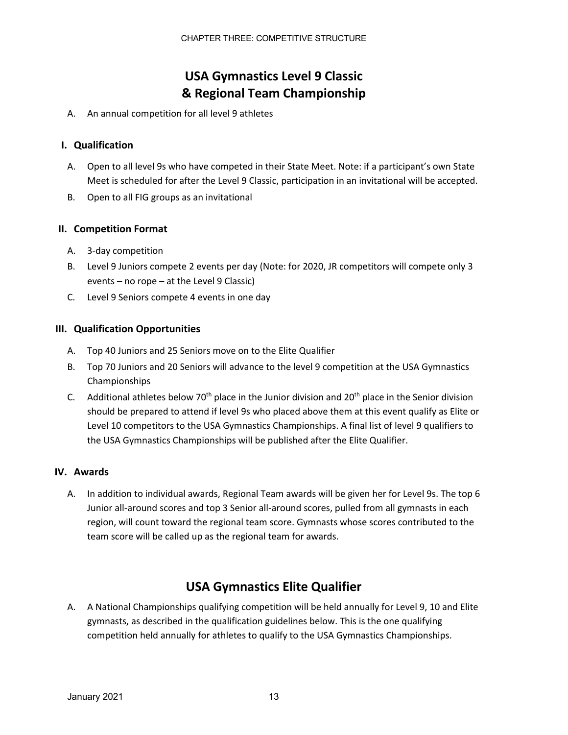## **USA Gymnastics Level 9 Classic & Regional Team Championship**

A. An annual competition for all level 9 athletes

### **I. Qualification**

- A. Open to all level 9s who have competed in their State Meet. Note: if a participant's own State Meet is scheduled for after the Level 9 Classic, participation in an invitational will be accepted.
- B. Open to all FIG groups as an invitational

### **II. Competition Format**

- A. 3-day competition
- B. Level 9 Juniors compete 2 events per day (Note: for 2020, JR competitors will compete only 3 events – no rope – at the Level 9 Classic)
- C. Level 9 Seniors compete 4 events in one day

### **III. Qualification Opportunities**

- A. Top 40 Juniors and 25 Seniors move on to the Elite Qualifier
- B. Top 70 Juniors and 20 Seniors will advance to the level 9 competition at the USA Gymnastics Championships
- C. Additional athletes below  $70<sup>th</sup>$  place in the Junior division and  $20<sup>th</sup>$  place in the Senior division should be prepared to attend if level 9s who placed above them at this event qualify as Elite or Level 10 competitors to the USA Gymnastics Championships. A final list of level 9 qualifiers to the USA Gymnastics Championships will be published after the Elite Qualifier.

### **IV. Awards**

A. In addition to individual awards, Regional Team awards will be given her for Level 9s. The top 6 Junior all-around scores and top 3 Senior all-around scores, pulled from all gymnasts in each region, will count toward the regional team score. Gymnasts whose scores contributed to the team score will be called up as the regional team for awards.

## **USA Gymnastics Elite Qualifier**

A. A National Championships qualifying competition will be held annually for Level 9, 10 and Elite gymnasts, as described in the qualification guidelines below. This is the one qualifying competition held annually for athletes to qualify to the USA Gymnastics Championships.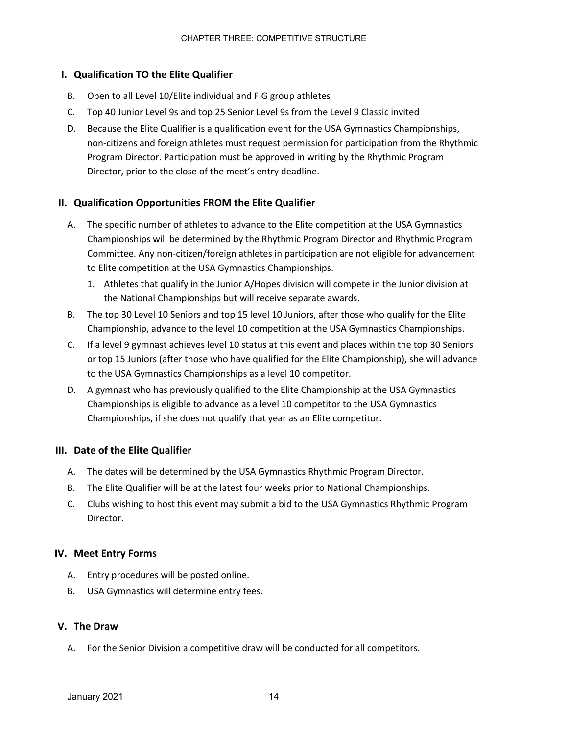#### **I. Qualification TO the Elite Qualifier**

- B. Open to all Level 10/Elite individual and FIG group athletes
- C. Top 40 Junior Level 9s and top 25 Senior Level 9s from the Level 9 Classic invited
- D. Because the Elite Qualifier is a qualification event for the USA Gymnastics Championships, non-citizens and foreign athletes must request permission for participation from the Rhythmic Program Director. Participation must be approved in writing by the Rhythmic Program Director, prior to the close of the meet's entry deadline.

### **II. Qualification Opportunities FROM the Elite Qualifier**

- A. The specific number of athletes to advance to the Elite competition at the USA Gymnastics Championships will be determined by the Rhythmic Program Director and Rhythmic Program Committee. Any non-citizen/foreign athletes in participation are not eligible for advancement to Elite competition at the USA Gymnastics Championships.
	- 1. Athletes that qualify in the Junior A/Hopes division will compete in the Junior division at the National Championships but will receive separate awards.
- B. The top 30 Level 10 Seniors and top 15 level 10 Juniors, after those who qualify for the Elite Championship, advance to the level 10 competition at the USA Gymnastics Championships.
- C. If a level 9 gymnast achieves level 10 status at this event and places within the top 30 Seniors or top 15 Juniors (after those who have qualified for the Elite Championship), she will advance to the USA Gymnastics Championships as a level 10 competitor.
- D. A gymnast who has previously qualified to the Elite Championship at the USA Gymnastics Championships is eligible to advance as a level 10 competitor to the USA Gymnastics Championships, if she does not qualify that year as an Elite competitor.

#### **III. Date of the Elite Qualifier**

- A. The dates will be determined by the USA Gymnastics Rhythmic Program Director.
- B. The Elite Qualifier will be at the latest four weeks prior to National Championships.
- C. Clubs wishing to host this event may submit a bid to the USA Gymnastics Rhythmic Program Director.

#### **IV. Meet Entry Forms**

- A. Entry procedures will be posted online.
- B. USA Gymnastics will determine entry fees.

#### **V. The Draw**

A. For the Senior Division a competitive draw will be conducted for all competitors.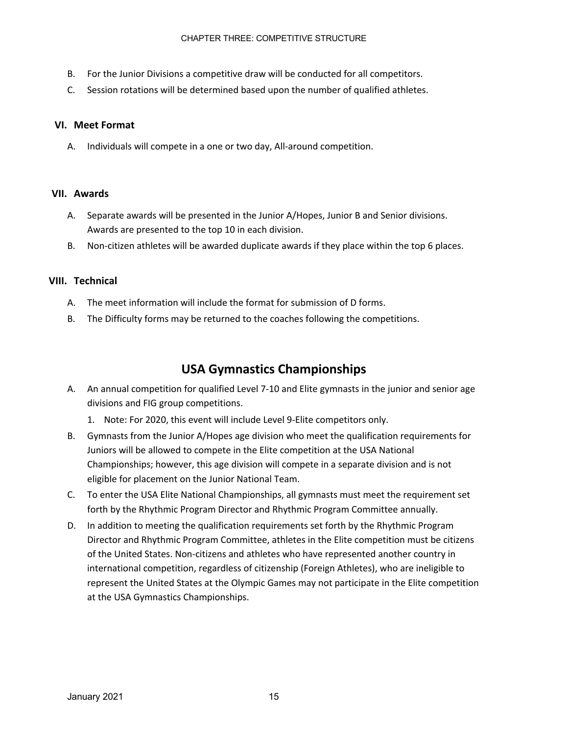- B. For the Junior Divisions a competitive draw will be conducted for all competitors.
- C. Session rotations will be determined based upon the number of qualified athletes.

#### **VI. Meet Format**

A. Individuals will compete in a one or two day, All-around competition.

#### **VII. Awards**

- A. Separate awards will be presented in the Junior A/Hopes, Junior B and Senior divisions. Awards are presented to the top 10 in each division.
- B. Non-citizen athletes will be awarded duplicate awards if they place within the top 6 places.

#### **VIII. Technical**

- A. The meet information will include the format for submission of D forms.
- B. The Difficulty forms may be returned to the coaches following the competitions.

## **USA Gymnastics Championships**

- A. An annual competition for qualified Level 7-10 and Elite gymnasts in the junior and senior age divisions and FIG group competitions.
	- 1. Note: For 2020, this event will include Level 9-Elite competitors only.
- B. Gymnasts from the Junior A/Hopes age division who meet the qualification requirements for Juniors will be allowed to compete in the Elite competition at the USA National Championships; however, this age division will compete in a separate division and is not eligible for placement on the Junior National Team.
- C. To enter the USA Elite National Championships, all gymnasts must meet the requirement set forth by the Rhythmic Program Director and Rhythmic Program Committee annually.
- D. In addition to meeting the qualification requirements set forth by the Rhythmic Program Director and Rhythmic Program Committee, athletes in the Elite competition must be citizens of the United States. Non-citizens and athletes who have represented another country in international competition, regardless of citizenship (Foreign Athletes), who are ineligible to represent the United States at the Olympic Games may not participate in the Elite competition at the USA Gymnastics Championships.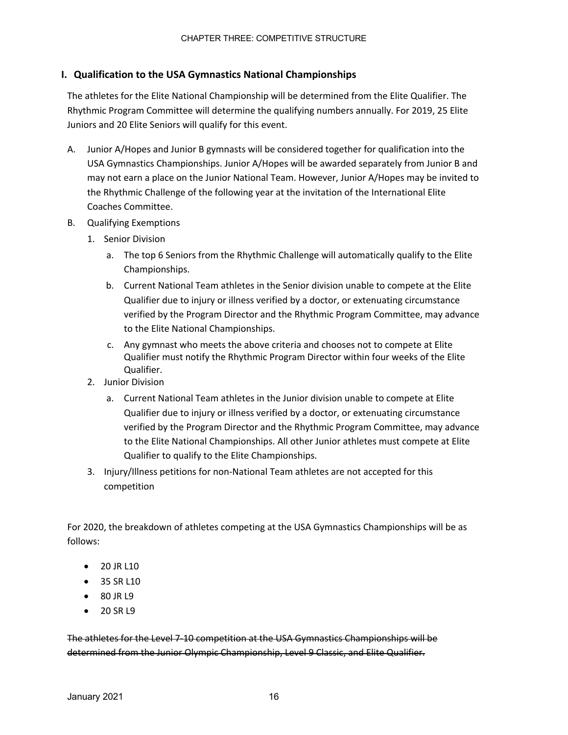#### **I. Qualification to the USA Gymnastics National Championships**

The athletes for the Elite National Championship will be determined from the Elite Qualifier. The Rhythmic Program Committee will determine the qualifying numbers annually. For 2019, 25 Elite Juniors and 20 Elite Seniors will qualify for this event.

- A. Junior A/Hopes and Junior B gymnasts will be considered together for qualification into the USA Gymnastics Championships. Junior A/Hopes will be awarded separately from Junior B and may not earn a place on the Junior National Team. However, Junior A/Hopes may be invited to the Rhythmic Challenge of the following year at the invitation of the International Elite Coaches Committee.
- B. Qualifying Exemptions
	- 1. Senior Division
		- a. The top 6 Seniors from the Rhythmic Challenge will automatically qualify to the Elite Championships.
		- b. Current National Team athletes in the Senior division unable to compete at the Elite Qualifier due to injury or illness verified by a doctor, or extenuating circumstance verified by the Program Director and the Rhythmic Program Committee, may advance to the Elite National Championships.
		- c. Any gymnast who meets the above criteria and chooses not to compete at Elite Qualifier must notify the Rhythmic Program Director within four weeks of the Elite Qualifier.
	- 2. Junior Division
		- a. Current National Team athletes in the Junior division unable to compete at Elite Qualifier due to injury or illness verified by a doctor, or extenuating circumstance verified by the Program Director and the Rhythmic Program Committee, may advance to the Elite National Championships. All other Junior athletes must compete at Elite Qualifier to qualify to the Elite Championships.
	- 3. Injury/Illness petitions for non-National Team athletes are not accepted for this competition

For 2020, the breakdown of athletes competing at the USA Gymnastics Championships will be as follows:

- 20 JR L10
- 35 SR L10
- 80 IR 19
- 20 SR L9

The athletes for the Level 7-10 competition at the USA Gymnastics Championships will be determined from the Junior Olympic Championship, Level 9 Classic, and Elite Qualifier.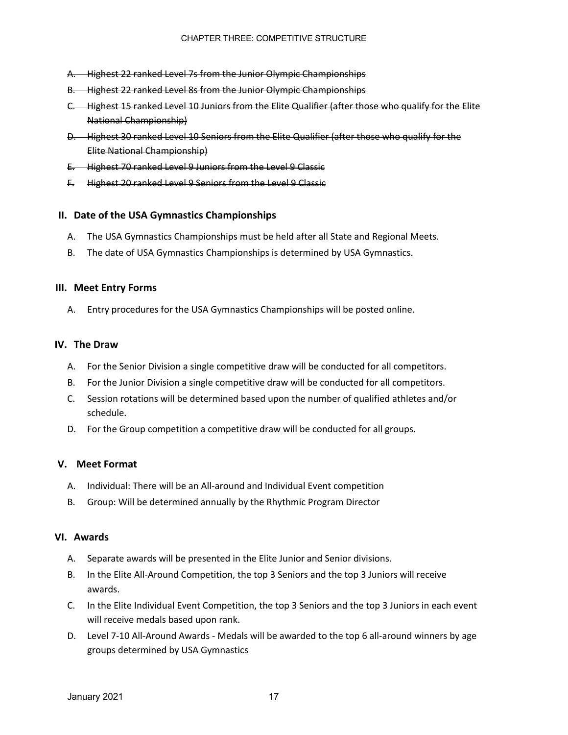- A. Highest 22 ranked Level 7s from the Junior Olympic Championships
- B. Highest 22 ranked Level 8s from the Junior Olympic Championships
- C. Highest 15 ranked Level 10 Juniors from the Elite Qualifier (after those who qualify for the Elite National Championship)
- D. Highest 30 ranked Level 10 Seniors from the Elite Qualifier (after those who qualify for the Elite National Championship)
- E. Highest 70 ranked Level 9 Juniors from the Level 9 Classic
- F. Highest 20 ranked Level 9 Seniors from the Level 9 Classic

#### **II. Date of the USA Gymnastics Championships**

- A. The USA Gymnastics Championships must be held after all State and Regional Meets.
- B. The date of USA Gymnastics Championships is determined by USA Gymnastics.

#### **III. Meet Entry Forms**

A. Entry procedures for the USA Gymnastics Championships will be posted online.

#### **IV. The Draw**

- A. For the Senior Division a single competitive draw will be conducted for all competitors.
- B. For the Junior Division a single competitive draw will be conducted for all competitors.
- C. Session rotations will be determined based upon the number of qualified athletes and/or schedule.
- D. For the Group competition a competitive draw will be conducted for all groups.

#### **V. Meet Format**

- A. Individual: There will be an All-around and Individual Event competition
- B. Group: Will be determined annually by the Rhythmic Program Director

#### **VI. Awards**

- A. Separate awards will be presented in the Elite Junior and Senior divisions.
- B. In the Elite All-Around Competition, the top 3 Seniors and the top 3 Juniors will receive awards.
- C. In the Elite Individual Event Competition, the top 3 Seniors and the top 3 Juniors in each event will receive medals based upon rank.
- D. Level 7-10 All-Around Awards Medals will be awarded to the top 6 all-around winners by age groups determined by USA Gymnastics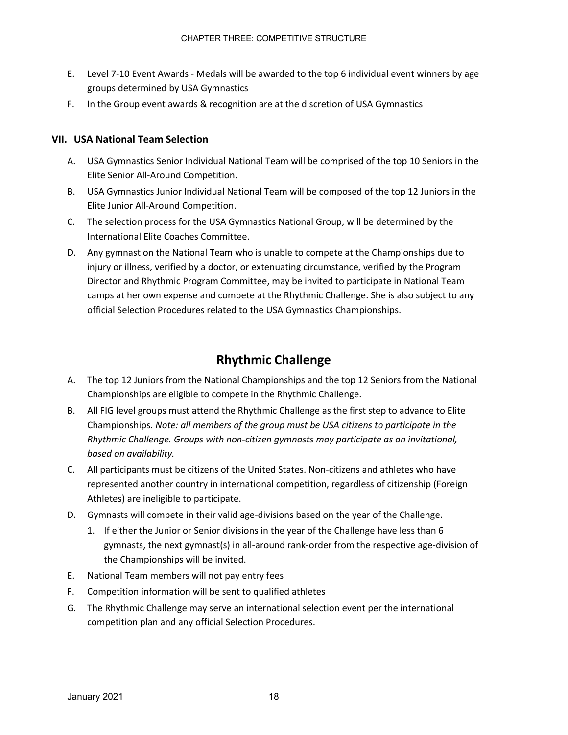- E. Level 7-10 Event Awards Medals will be awarded to the top 6 individual event winners by age groups determined by USA Gymnastics
- F. In the Group event awards & recognition are at the discretion of USA Gymnastics

#### **VII. USA National Team Selection**

- A. USA Gymnastics Senior Individual National Team will be comprised of the top 10 Seniors in the Elite Senior All-Around Competition.
- B. USA Gymnastics Junior Individual National Team will be composed of the top 12 Juniors in the Elite Junior All-Around Competition.
- C. The selection process for the USA Gymnastics National Group, will be determined by the International Elite Coaches Committee.
- D. Any gymnast on the National Team who is unable to compete at the Championships due to injury or illness, verified by a doctor, or extenuating circumstance, verified by the Program Director and Rhythmic Program Committee, may be invited to participate in National Team camps at her own expense and compete at the Rhythmic Challenge. She is also subject to any official Selection Procedures related to the USA Gymnastics Championships.

## **Rhythmic Challenge**

- A. The top 12 Juniors from the National Championships and the top 12 Seniors from the National Championships are eligible to compete in the Rhythmic Challenge.
- B. All FIG level groups must attend the Rhythmic Challenge as the first step to advance to Elite Championships. *Note: all members of the group must be USA citizens to participate in the Rhythmic Challenge. Groups with non-citizen gymnasts may participate as an invitational, based on availability.*
- C. All participants must be citizens of the United States. Non-citizens and athletes who have represented another country in international competition, regardless of citizenship (Foreign Athletes) are ineligible to participate.
- D. Gymnasts will compete in their valid age-divisions based on the year of the Challenge.
	- 1. If either the Junior or Senior divisions in the year of the Challenge have less than 6 gymnasts, the next gymnast(s) in all-around rank-order from the respective age-division of the Championships will be invited.
- E. National Team members will not pay entry fees
- F. Competition information will be sent to qualified athletes
- G. The Rhythmic Challenge may serve an international selection event per the international competition plan and any official Selection Procedures.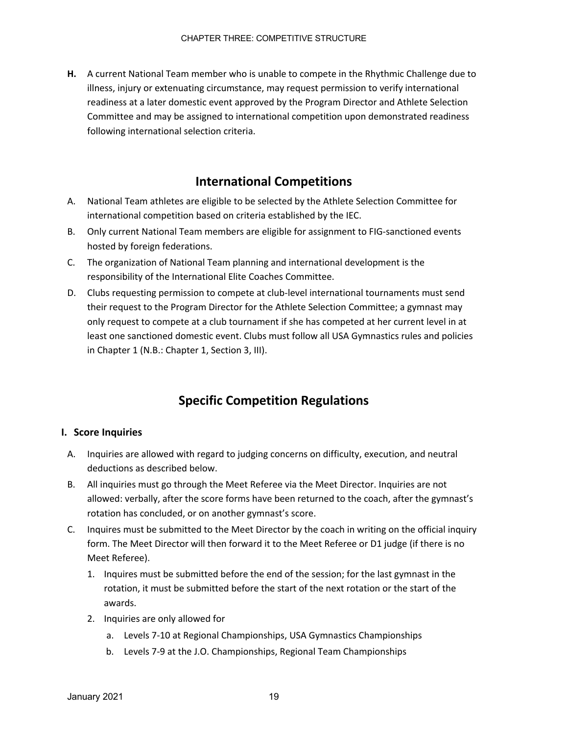**H.** A current National Team member who is unable to compete in the Rhythmic Challenge due to illness, injury or extenuating circumstance, may request permission to verify international readiness at a later domestic event approved by the Program Director and Athlete Selection Committee and may be assigned to international competition upon demonstrated readiness following international selection criteria.

## **International Competitions**

- A. National Team athletes are eligible to be selected by the Athlete Selection Committee for international competition based on criteria established by the IEC.
- B. Only current National Team members are eligible for assignment to FIG-sanctioned events hosted by foreign federations.
- C. The organization of National Team planning and international development is the responsibility of the International Elite Coaches Committee.
- D. Clubs requesting permission to compete at club-level international tournaments must send their request to the Program Director for the Athlete Selection Committee; a gymnast may only request to compete at a club tournament if she has competed at her current level in at least one sanctioned domestic event. Clubs must follow all USA Gymnastics rules and policies in Chapter 1 (N.B.: Chapter 1, Section 3, III).

## **Specific Competition Regulations**

#### **I. Score Inquiries**

- A. Inquiries are allowed with regard to judging concerns on difficulty, execution, and neutral deductions as described below.
- B. All inquiries must go through the Meet Referee via the Meet Director. Inquiries are not allowed: verbally, after the score forms have been returned to the coach, after the gymnast's rotation has concluded, or on another gymnast's score.
- C. Inquires must be submitted to the Meet Director by the coach in writing on the official inquiry form. The Meet Director will then forward it to the Meet Referee or D1 judge (if there is no Meet Referee).
	- 1. Inquires must be submitted before the end of the session; for the last gymnast in the rotation, it must be submitted before the start of the next rotation or the start of the awards.
	- 2. Inquiries are only allowed for
		- a. Levels 7-10 at Regional Championships, USA Gymnastics Championships
		- b. Levels 7-9 at the J.O. Championships, Regional Team Championships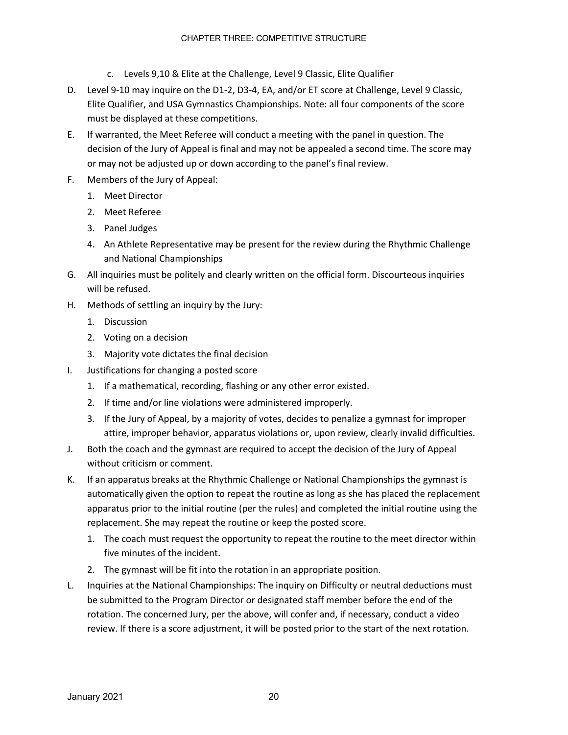- c. Levels 9,10 & Elite at the Challenge, Level 9 Classic, Elite Qualifier
- D. Level 9-10 may inquire on the D1-2, D3-4, EA, and/or ET score at Challenge, Level 9 Classic, Elite Qualifier, and USA Gymnastics Championships. Note: all four components of the score must be displayed at these competitions.
- E. If warranted, the Meet Referee will conduct a meeting with the panel in question. The decision of the Jury of Appeal is final and may not be appealed a second time. The score may or may not be adjusted up or down according to the panel's final review.
- F. Members of the Jury of Appeal:
	- 1. Meet Director
	- 2. Meet Referee
	- 3. Panel Judges
	- 4. An Athlete Representative may be present for the review during the Rhythmic Challenge and National Championships
- G. All inquiries must be politely and clearly written on the official form. Discourteous inquiries will be refused.
- H. Methods of settling an inquiry by the Jury:
	- 1. Discussion
	- 2. Voting on a decision
	- 3. Majority vote dictates the final decision
- I. Justifications for changing a posted score
	- 1. If a mathematical, recording, flashing or any other error existed.
	- 2. If time and/or line violations were administered improperly.
	- 3. If the Jury of Appeal, by a majority of votes, decides to penalize a gymnast for improper attire, improper behavior, apparatus violations or, upon review, clearly invalid difficulties.
- J. Both the coach and the gymnast are required to accept the decision of the Jury of Appeal without criticism or comment.
- K. If an apparatus breaks at the Rhythmic Challenge or National Championships the gymnast is automatically given the option to repeat the routine as long as she has placed the replacement apparatus prior to the initial routine (per the rules) and completed the initial routine using the replacement. She may repeat the routine or keep the posted score.
	- 1. The coach must request the opportunity to repeat the routine to the meet director within five minutes of the incident.
	- 2. The gymnast will be fit into the rotation in an appropriate position.
- L. Inquiries at the National Championships: The inquiry on Difficulty or neutral deductions must be submitted to the Program Director or designated staff member before the end of the rotation. The concerned Jury, per the above, will confer and, if necessary, conduct a video review. If there is a score adjustment, it will be posted prior to the start of the next rotation.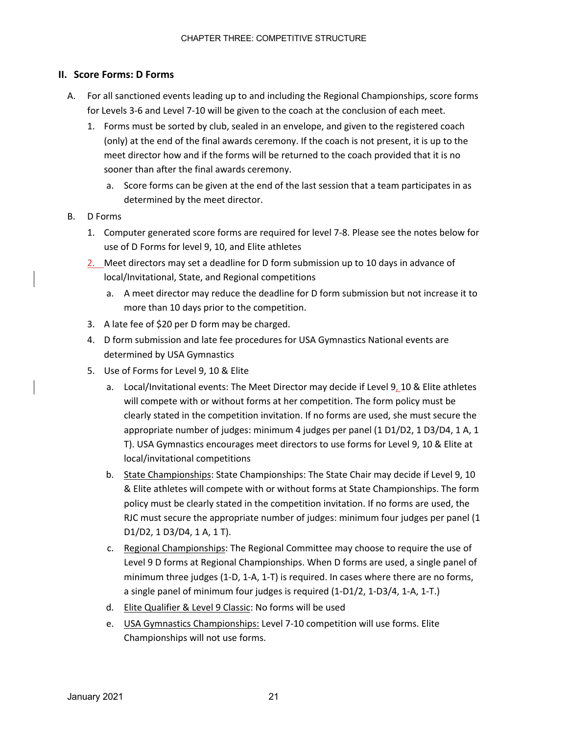### **II. Score Forms: D Forms**

- A. For all sanctioned events leading up to and including the Regional Championships, score forms for Levels 3-6 and Level 7-10 will be given to the coach at the conclusion of each meet.
	- 1. Forms must be sorted by club, sealed in an envelope, and given to the registered coach (only) at the end of the final awards ceremony. If the coach is not present, it is up to the meet director how and if the forms will be returned to the coach provided that it is no sooner than after the final awards ceremony.
		- a. Score forms can be given at the end of the last session that a team participates in as determined by the meet director.
- B. D Forms
	- 1. Computer generated score forms are required for level 7-8. Please see the notes below for use of D Forms for level 9, 10, and Elite athletes
	- 2. Meet directors may set a deadline for D form submission up to 10 days in advance of local/Invitational, State, and Regional competitions
		- a. A meet director may reduce the deadline for D form submission but not increase it to more than 10 days prior to the competition.
	- 3. A late fee of \$20 per D form may be charged.
	- 4. D form submission and late fee procedures for USA Gymnastics National events are determined by USA Gymnastics
	- 5. Use of Forms for Level 9, 10 & Elite
		- a. Local/Invitational events: The Meet Director may decide if Level 9, 10 & Elite athletes will compete with or without forms at her competition. The form policy must be clearly stated in the competition invitation. If no forms are used, she must secure the appropriate number of judges: minimum 4 judges per panel (1 D1/D2, 1 D3/D4, 1 A, 1 T). USA Gymnastics encourages meet directors to use forms for Level 9, 10 & Elite at local/invitational competitions
		- b. State Championships: State Championships: The State Chair may decide if Level 9, 10 & Elite athletes will compete with or without forms at State Championships. The form policy must be clearly stated in the competition invitation. If no forms are used, the RJC must secure the appropriate number of judges: minimum four judges per panel (1 D1/D2, 1 D3/D4, 1 A, 1 T).
		- c. Regional Championships: The Regional Committee may choose to require the use of Level 9 D forms at Regional Championships. When D forms are used, a single panel of minimum three judges (1-D, 1-A, 1-T) is required. In cases where there are no forms, a single panel of minimum four judges is required (1-D1/2, 1-D3/4, 1-A, 1-T.)
		- d. Elite Qualifier & Level 9 Classic: No forms will be used
		- e. USA Gymnastics Championships: Level 7-10 competition will use forms. Elite Championships will not use forms.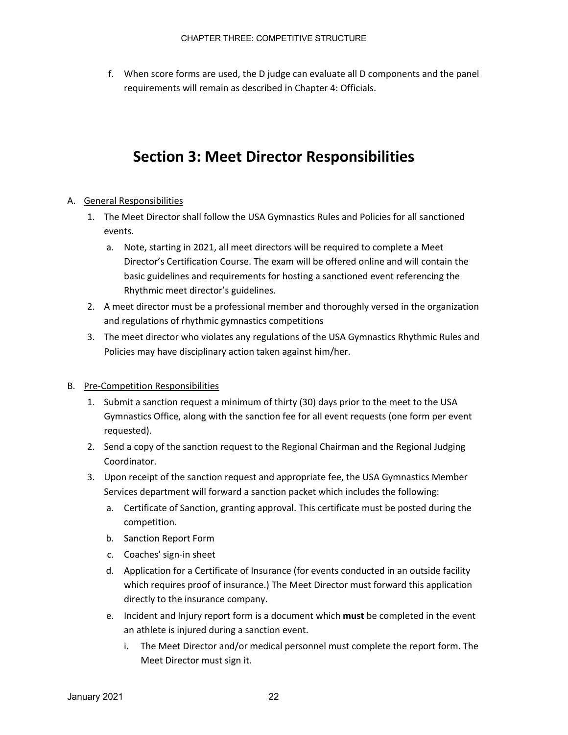f. When score forms are used, the D judge can evaluate all D components and the panel requirements will remain as described in Chapter 4: Officials.

# **Section 3: Meet Director Responsibilities**

#### A. General Responsibilities

- 1. The Meet Director shall follow the USA Gymnastics Rules and Policies for all sanctioned events.
	- a. Note, starting in 2021, all meet directors will be required to complete a Meet Director's Certification Course. The exam will be offered online and will contain the basic guidelines and requirements for hosting a sanctioned event referencing the Rhythmic meet director's guidelines.
- 2. A meet director must be a professional member and thoroughly versed in the organization and regulations of rhythmic gymnastics competitions
- 3. The meet director who violates any regulations of the USA Gymnastics Rhythmic Rules and Policies may have disciplinary action taken against him/her.

#### B. Pre-Competition Responsibilities

- 1. Submit a sanction request a minimum of thirty (30) days prior to the meet to the USA Gymnastics Office, along with the sanction fee for all event requests (one form per event requested).
- 2. Send a copy of the sanction request to the Regional Chairman and the Regional Judging Coordinator.
- 3. Upon receipt of the sanction request and appropriate fee, the USA Gymnastics Member Services department will forward a sanction packet which includes the following:
	- a. Certificate of Sanction, granting approval. This certificate must be posted during the competition.
	- b. Sanction Report Form
	- c. Coaches' sign-in sheet
	- d. Application for a Certificate of Insurance (for events conducted in an outside facility which requires proof of insurance.) The Meet Director must forward this application directly to the insurance company.
	- e. Incident and Injury report form is a document which **must** be completed in the event an athlete is injured during a sanction event.
		- i. The Meet Director and/or medical personnel must complete the report form. The Meet Director must sign it.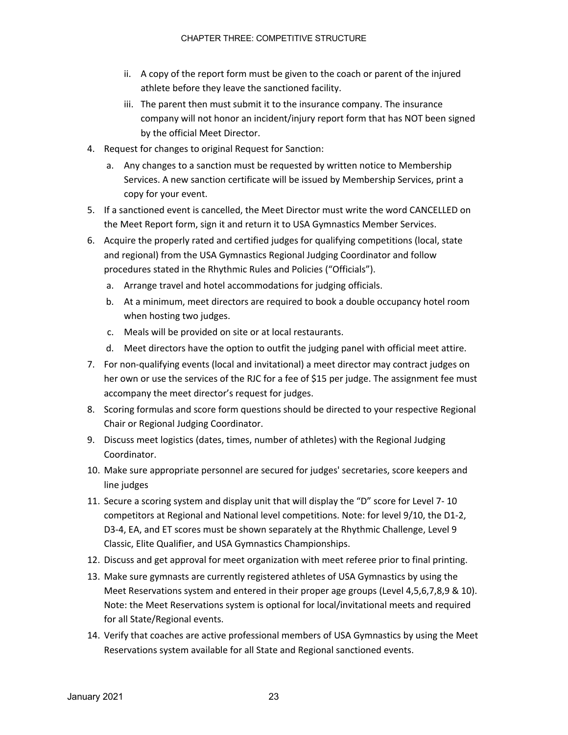- ii. A copy of the report form must be given to the coach or parent of the injured athlete before they leave the sanctioned facility.
- iii. The parent then must submit it to the insurance company. The insurance company will not honor an incident/injury report form that has NOT been signed by the official Meet Director.
- 4. Request for changes to original Request for Sanction:
	- a. Any changes to a sanction must be requested by written notice to Membership Services. A new sanction certificate will be issued by Membership Services, print a copy for your event.
- 5. If a sanctioned event is cancelled, the Meet Director must write the word CANCELLED on the Meet Report form, sign it and return it to USA Gymnastics Member Services.
- 6. Acquire the properly rated and certified judges for qualifying competitions (local, state and regional) from the USA Gymnastics Regional Judging Coordinator and follow procedures stated in the Rhythmic Rules and Policies ("Officials").
	- a. Arrange travel and hotel accommodations for judging officials.
	- b. At a minimum, meet directors are required to book a double occupancy hotel room when hosting two judges.
	- c. Meals will be provided on site or at local restaurants.
	- d. Meet directors have the option to outfit the judging panel with official meet attire.
- 7. For non-qualifying events (local and invitational) a meet director may contract judges on her own or use the services of the RJC for a fee of \$15 per judge. The assignment fee must accompany the meet director's request for judges.
- 8. Scoring formulas and score form questions should be directed to your respective Regional Chair or Regional Judging Coordinator.
- 9. Discuss meet logistics (dates, times, number of athletes) with the Regional Judging Coordinator.
- 10. Make sure appropriate personnel are secured for judges' secretaries, score keepers and line judges
- 11. Secure a scoring system and display unit that will display the "D" score for Level 7- 10 competitors at Regional and National level competitions. Note: for level 9/10, the D1-2, D3-4, EA, and ET scores must be shown separately at the Rhythmic Challenge, Level 9 Classic, Elite Qualifier, and USA Gymnastics Championships.
- 12. Discuss and get approval for meet organization with meet referee prior to final printing.
- 13. Make sure gymnasts are currently registered athletes of USA Gymnastics by using the Meet Reservations system and entered in their proper age groups (Level 4,5,6,7,8,9 & 10). Note: the Meet Reservations system is optional for local/invitational meets and required for all State/Regional events.
- 14. Verify that coaches are active professional members of USA Gymnastics by using the Meet Reservations system available for all State and Regional sanctioned events.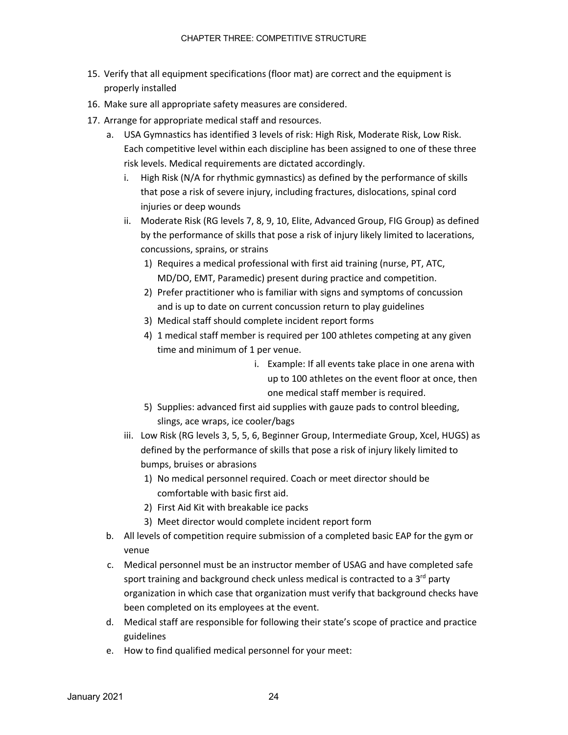- 15. Verify that all equipment specifications (floor mat) are correct and the equipment is properly installed
- 16. Make sure all appropriate safety measures are considered.
- 17. Arrange for appropriate medical staff and resources.
	- a. USA Gymnastics has identified 3 levels of risk: High Risk, Moderate Risk, Low Risk. Each competitive level within each discipline has been assigned to one of these three risk levels. Medical requirements are dictated accordingly.
		- i. High Risk (N/A for rhythmic gymnastics) as defined by the performance of skills that pose a risk of severe injury, including fractures, dislocations, spinal cord injuries or deep wounds
		- ii. Moderate Risk (RG levels 7, 8, 9, 10, Elite, Advanced Group, FIG Group) as defined by the performance of skills that pose a risk of injury likely limited to lacerations, concussions, sprains, or strains
			- 1) Requires a medical professional with first aid training (nurse, PT, ATC, MD/DO, EMT, Paramedic) present during practice and competition.
			- 2) Prefer practitioner who is familiar with signs and symptoms of concussion and is up to date on current concussion return to play guidelines
			- 3) Medical staff should complete incident report forms
			- 4) 1 medical staff member is required per 100 athletes competing at any given time and minimum of 1 per venue.
				- i. Example: If all events take place in one arena with up to 100 athletes on the event floor at once, then one medical staff member is required.
			- 5) Supplies: advanced first aid supplies with gauze pads to control bleeding, slings, ace wraps, ice cooler/bags
		- iii. Low Risk (RG levels 3, 5, 5, 6, Beginner Group, Intermediate Group, Xcel, HUGS) as defined by the performance of skills that pose a risk of injury likely limited to bumps, bruises or abrasions
			- 1) No medical personnel required. Coach or meet director should be comfortable with basic first aid.
			- 2) First Aid Kit with breakable ice packs
			- 3) Meet director would complete incident report form
	- b. All levels of competition require submission of a completed basic EAP for the gym or venue
	- c. Medical personnel must be an instructor member of USAG and have completed safe sport training and background check unless medical is contracted to a  $3<sup>rd</sup>$  party organization in which case that organization must verify that background checks have been completed on its employees at the event.
	- d. Medical staff are responsible for following their state's scope of practice and practice guidelines
	- e. How to find qualified medical personnel for your meet: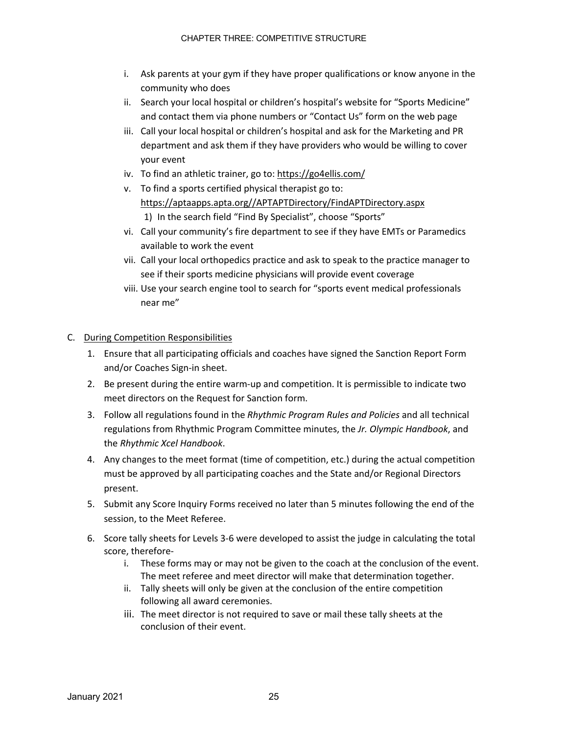- i. Ask parents at your gym if they have proper qualifications or know anyone in the community who does
- ii. Search your local hospital or children's hospital's website for "Sports Medicine" and contact them via phone numbers or "Contact Us" form on the web page
- iii. Call your local hospital or children's hospital and ask for the Marketing and PR department and ask them if they have providers who would be willing to cover your event
- iv. To find an athletic trainer, go to: https://go4ellis.com/
- v. To find a sports certified physical therapist go to: https://aptaapps.apta.org//APTAPTDirectory/FindAPTDirectory.aspx 1) In the search field "Find By Specialist", choose "Sports"
- vi. Call your community's fire department to see if they have EMTs or Paramedics available to work the event
- vii. Call your local orthopedics practice and ask to speak to the practice manager to see if their sports medicine physicians will provide event coverage
- viii. Use your search engine tool to search for "sports event medical professionals near me"

#### C. During Competition Responsibilities

- 1. Ensure that all participating officials and coaches have signed the Sanction Report Form and/or Coaches Sign-in sheet.
- 2. Be present during the entire warm-up and competition. It is permissible to indicate two meet directors on the Request for Sanction form.
- 3. Follow all regulations found in the *Rhythmic Program Rules and Policies* and all technical regulations from Rhythmic Program Committee minutes, the *Jr. Olympic Handbook*, and the *Rhythmic Xcel Handbook*.
- 4. Any changes to the meet format (time of competition, etc.) during the actual competition must be approved by all participating coaches and the State and/or Regional Directors present.
- 5. Submit any Score Inquiry Forms received no later than 5 minutes following the end of the session, to the Meet Referee.
- 6. Score tally sheets for Levels 3-6 were developed to assist the judge in calculating the total score, therefore
	- i. These forms may or may not be given to the coach at the conclusion of the event. The meet referee and meet director will make that determination together.
	- ii. Tally sheets will only be given at the conclusion of the entire competition following all award ceremonies.
	- iii. The meet director is not required to save or mail these tally sheets at the conclusion of their event.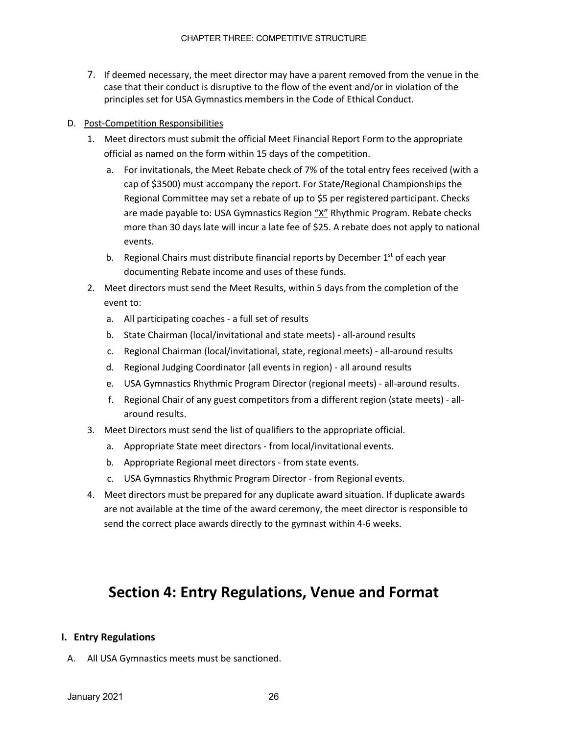7. If deemed necessary, the meet director may have a parent removed from the venue in the case that their conduct is disruptive to the flow of the event and/or in violation of the principles set for USA Gymnastics members in the Code of Ethical Conduct.

#### D. Post-Competition Responsibilities

- 1. Meet directors must submit the official Meet Financial Report Form to the appropriate official as named on the form within 15 days of the competition.
	- a. For invitationals, the Meet Rebate check of 7% of the total entry fees received (with a cap of \$3500) must accompany the report. For State/Regional Championships the Regional Committee may set a rebate of up to \$5 per registered participant. Checks are made payable to: USA Gymnastics Region "X" Rhythmic Program. Rebate checks more than 30 days late will incur a late fee of \$25. A rebate does not apply to national events.
	- b. Regional Chairs must distribute financial reports by December  $1<sup>st</sup>$  of each year documenting Rebate income and uses of these funds.
- 2. Meet directors must send the Meet Results, within 5 days from the completion of the event to:
	- a. All participating coaches a full set of results
	- b. State Chairman (local/invitational and state meets) all-around results
	- c. Regional Chairman (local/invitational, state, regional meets) all-around results
	- d. Regional Judging Coordinator (all events in region) all around results
	- e. USA Gymnastics Rhythmic Program Director (regional meets) all-around results.
	- f. Regional Chair of any guest competitors from a different region (state meets) allaround results.
- 3. Meet Directors must send the list of qualifiers to the appropriate official.
	- a. Appropriate State meet directors from local/invitational events.
	- b. Appropriate Regional meet directors from state events.
	- c. USA Gymnastics Rhythmic Program Director from Regional events.
- 4. Meet directors must be prepared for any duplicate award situation. If duplicate awards are not available at the time of the award ceremony, the meet director is responsible to send the correct place awards directly to the gymnast within 4-6 weeks.

# **Section 4: Entry Regulations, Venue and Format**

### **I. Entry Regulations**

A. All USA Gymnastics meets must be sanctioned.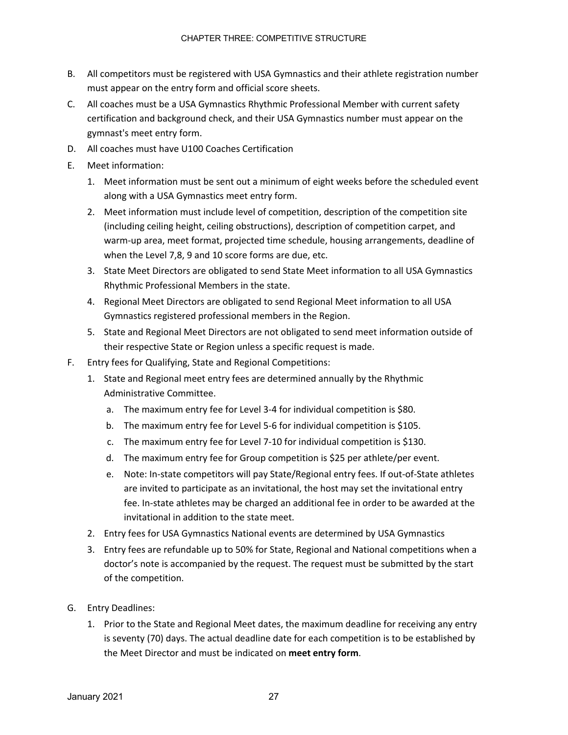- B. All competitors must be registered with USA Gymnastics and their athlete registration number must appear on the entry form and official score sheets.
- C. All coaches must be a USA Gymnastics Rhythmic Professional Member with current safety certification and background check, and their USA Gymnastics number must appear on the gymnast's meet entry form.
- D. All coaches must have U100 Coaches Certification
- E. Meet information:
	- 1. Meet information must be sent out a minimum of eight weeks before the scheduled event along with a USA Gymnastics meet entry form.
	- 2. Meet information must include level of competition, description of the competition site (including ceiling height, ceiling obstructions), description of competition carpet, and warm-up area, meet format, projected time schedule, housing arrangements, deadline of when the Level 7,8, 9 and 10 score forms are due, etc.
	- 3. State Meet Directors are obligated to send State Meet information to all USA Gymnastics Rhythmic Professional Members in the state.
	- 4. Regional Meet Directors are obligated to send Regional Meet information to all USA Gymnastics registered professional members in the Region.
	- 5. State and Regional Meet Directors are not obligated to send meet information outside of their respective State or Region unless a specific request is made.
- F. Entry fees for Qualifying, State and Regional Competitions:
	- 1. State and Regional meet entry fees are determined annually by the Rhythmic Administrative Committee.
		- a. The maximum entry fee for Level 3-4 for individual competition is \$80.
		- b. The maximum entry fee for Level 5-6 for individual competition is \$105.
		- c. The maximum entry fee for Level 7-10 for individual competition is \$130.
		- d. The maximum entry fee for Group competition is \$25 per athlete/per event.
		- e. Note: In-state competitors will pay State/Regional entry fees. If out-of-State athletes are invited to participate as an invitational, the host may set the invitational entry fee. In-state athletes may be charged an additional fee in order to be awarded at the invitational in addition to the state meet.
	- 2. Entry fees for USA Gymnastics National events are determined by USA Gymnastics
	- 3. Entry fees are refundable up to 50% for State, Regional and National competitions when a doctor's note is accompanied by the request. The request must be submitted by the start of the competition.
- G. Entry Deadlines:
	- 1. Prior to the State and Regional Meet dates, the maximum deadline for receiving any entry is seventy (70) days. The actual deadline date for each competition is to be established by the Meet Director and must be indicated on **meet entry form**.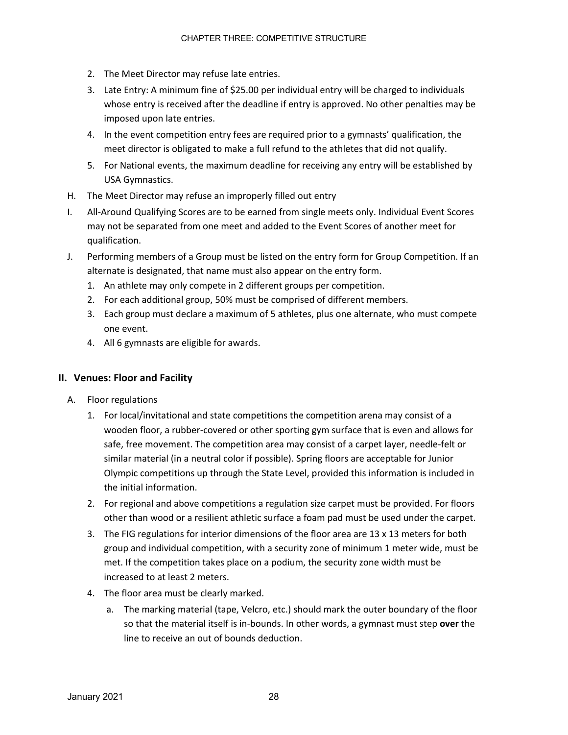- 2. The Meet Director may refuse late entries.
- 3. Late Entry: A minimum fine of \$25.00 per individual entry will be charged to individuals whose entry is received after the deadline if entry is approved. No other penalties may be imposed upon late entries.
- 4. In the event competition entry fees are required prior to a gymnasts' qualification, the meet director is obligated to make a full refund to the athletes that did not qualify.
- 5. For National events, the maximum deadline for receiving any entry will be established by USA Gymnastics.
- H. The Meet Director may refuse an improperly filled out entry
- I. All-Around Qualifying Scores are to be earned from single meets only. Individual Event Scores may not be separated from one meet and added to the Event Scores of another meet for qualification.
- J. Performing members of a Group must be listed on the entry form for Group Competition. If an alternate is designated, that name must also appear on the entry form.
	- 1. An athlete may only compete in 2 different groups per competition.
	- 2. For each additional group, 50% must be comprised of different members.
	- 3. Each group must declare a maximum of 5 athletes, plus one alternate, who must compete one event.
	- 4. All 6 gymnasts are eligible for awards.

#### **II. Venues: Floor and Facility**

- A. Floor regulations
	- 1. For local/invitational and state competitions the competition arena may consist of a wooden floor, a rubber-covered or other sporting gym surface that is even and allows for safe, free movement. The competition area may consist of a carpet layer, needle-felt or similar material (in a neutral color if possible). Spring floors are acceptable for Junior Olympic competitions up through the State Level, provided this information is included in the initial information.
	- 2. For regional and above competitions a regulation size carpet must be provided. For floors other than wood or a resilient athletic surface a foam pad must be used under the carpet.
	- 3. The FIG regulations for interior dimensions of the floor area are 13 x 13 meters for both group and individual competition, with a security zone of minimum 1 meter wide, must be met. If the competition takes place on a podium, the security zone width must be increased to at least 2 meters.
	- 4. The floor area must be clearly marked.
		- a. The marking material (tape, Velcro, etc.) should mark the outer boundary of the floor so that the material itself is in-bounds. In other words, a gymnast must step **over** the line to receive an out of bounds deduction.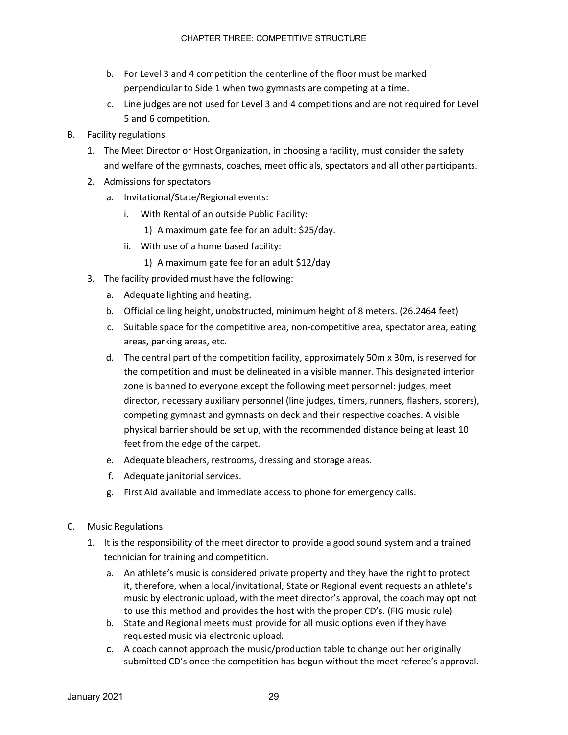- b. For Level 3 and 4 competition the centerline of the floor must be marked perpendicular to Side 1 when two gymnasts are competing at a time.
- c. Line judges are not used for Level 3 and 4 competitions and are not required for Level 5 and 6 competition.
- B. Facility regulations
	- 1. The Meet Director or Host Organization, in choosing a facility, must consider the safety and welfare of the gymnasts, coaches, meet officials, spectators and all other participants.
	- 2. Admissions for spectators
		- a. Invitational/State/Regional events:
			- i. With Rental of an outside Public Facility:
				- 1) A maximum gate fee for an adult: \$25/day.
			- ii. With use of a home based facility:
				- 1) A maximum gate fee for an adult \$12/day
	- 3. The facility provided must have the following:
		- a. Adequate lighting and heating.
		- b. Official ceiling height, unobstructed, minimum height of 8 meters. (26.2464 feet)
		- c. Suitable space for the competitive area, non-competitive area, spectator area, eating areas, parking areas, etc.
		- d. The central part of the competition facility, approximately 50m x 30m, is reserved for the competition and must be delineated in a visible manner. This designated interior zone is banned to everyone except the following meet personnel: judges, meet director, necessary auxiliary personnel (line judges, timers, runners, flashers, scorers), competing gymnast and gymnasts on deck and their respective coaches. A visible physical barrier should be set up, with the recommended distance being at least 10 feet from the edge of the carpet.
		- e. Adequate bleachers, restrooms, dressing and storage areas.
		- f. Adequate janitorial services.
		- g. First Aid available and immediate access to phone for emergency calls.
- C. Music Regulations
	- 1. It is the responsibility of the meet director to provide a good sound system and a trained technician for training and competition.
		- a. An athlete's music is considered private property and they have the right to protect it, therefore, when a local/invitational, State or Regional event requests an athlete's music by electronic upload, with the meet director's approval, the coach may opt not to use this method and provides the host with the proper CD's. (FIG music rule)
		- b. State and Regional meets must provide for all music options even if they have requested music via electronic upload.
		- c. A coach cannot approach the music/production table to change out her originally submitted CD's once the competition has begun without the meet referee's approval.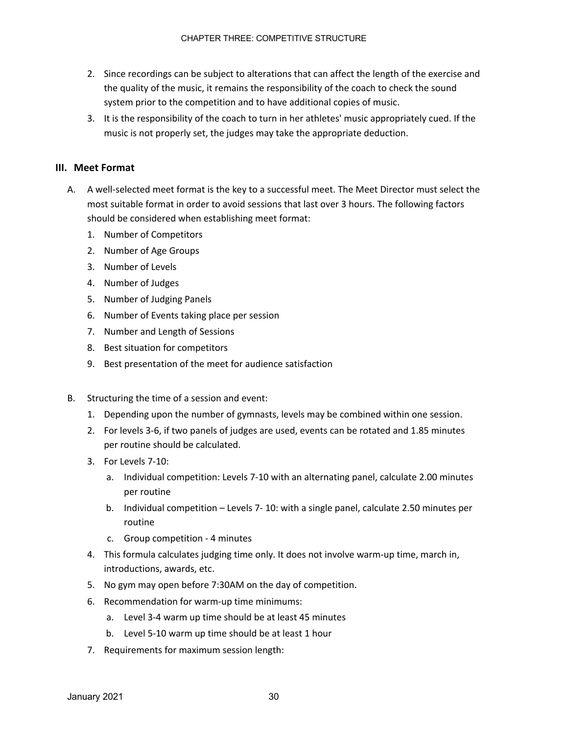- 2. Since recordings can be subject to alterations that can affect the length of the exercise and the quality of the music, it remains the responsibility of the coach to check the sound system prior to the competition and to have additional copies of music.
- 3. It is the responsibility of the coach to turn in her athletes' music appropriately cued. If the music is not properly set, the judges may take the appropriate deduction.

### **III. Meet Format**

- A. A well-selected meet format is the key to a successful meet. The Meet Director must select the most suitable format in order to avoid sessions that last over 3 hours. The following factors should be considered when establishing meet format:
	- 1. Number of Competitors
	- 2. Number of Age Groups
	- 3. Number of Levels
	- 4. Number of Judges
	- 5. Number of Judging Panels
	- 6. Number of Events taking place per session
	- 7. Number and Length of Sessions
	- 8. Best situation for competitors
	- 9. Best presentation of the meet for audience satisfaction
- B. Structuring the time of a session and event:
	- 1. Depending upon the number of gymnasts, levels may be combined within one session.
	- 2. For levels 3-6, if two panels of judges are used, events can be rotated and 1.85 minutes per routine should be calculated.
	- 3. For Levels 7-10:
		- a. Individual competition: Levels 7-10 with an alternating panel, calculate 2.00 minutes per routine
		- b. Individual competition Levels 7- 10: with a single panel, calculate 2.50 minutes per routine
		- c. Group competition 4 minutes
	- 4. This formula calculates judging time only. It does not involve warm-up time, march in, introductions, awards, etc.
	- 5. No gym may open before 7:30AM on the day of competition.
	- 6. Recommendation for warm-up time minimums:
		- a. Level 3-4 warm up time should be at least 45 minutes
		- b. Level 5-10 warm up time should be at least 1 hour
	- 7. Requirements for maximum session length: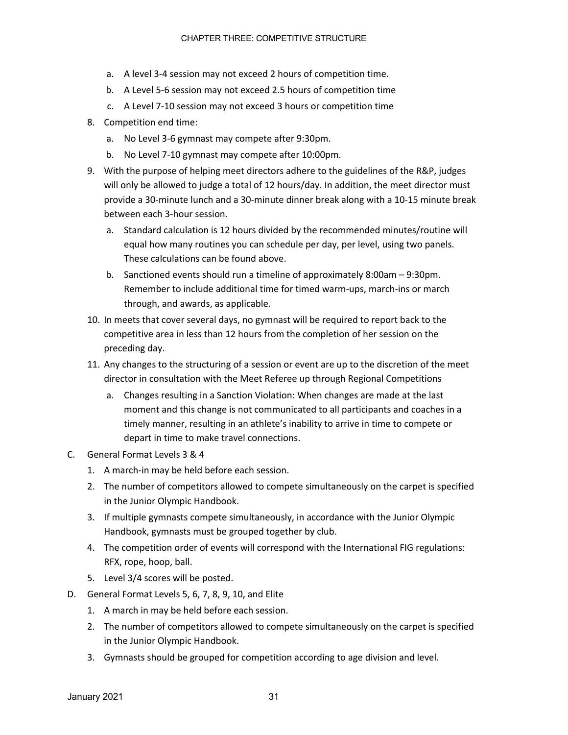- a. A level 3-4 session may not exceed 2 hours of competition time.
- b. A Level 5-6 session may not exceed 2.5 hours of competition time
- c. A Level 7-10 session may not exceed 3 hours or competition time
- 8. Competition end time:
	- a. No Level 3-6 gymnast may compete after 9:30pm.
	- b. No Level 7-10 gymnast may compete after 10:00pm.
- 9. With the purpose of helping meet directors adhere to the guidelines of the R&P, judges will only be allowed to judge a total of 12 hours/day. In addition, the meet director must provide a 30-minute lunch and a 30-minute dinner break along with a 10-15 minute break between each 3-hour session.
	- a. Standard calculation is 12 hours divided by the recommended minutes/routine will equal how many routines you can schedule per day, per level, using two panels. These calculations can be found above.
	- b. Sanctioned events should run a timeline of approximately 8:00am 9:30pm. Remember to include additional time for timed warm-ups, march-ins or march through, and awards, as applicable.
- 10. In meets that cover several days, no gymnast will be required to report back to the competitive area in less than 12 hours from the completion of her session on the preceding day.
- 11. Any changes to the structuring of a session or event are up to the discretion of the meet director in consultation with the Meet Referee up through Regional Competitions
	- a. Changes resulting in a Sanction Violation: When changes are made at the last moment and this change is not communicated to all participants and coaches in a timely manner, resulting in an athlete's inability to arrive in time to compete or depart in time to make travel connections.
- C. General Format Levels 3 & 4
	- 1. A march-in may be held before each session.
	- 2. The number of competitors allowed to compete simultaneously on the carpet is specified in the Junior Olympic Handbook.
	- 3. If multiple gymnasts compete simultaneously, in accordance with the Junior Olympic Handbook, gymnasts must be grouped together by club.
	- 4. The competition order of events will correspond with the International FIG regulations: RFX, rope, hoop, ball.
	- 5. Level 3/4 scores will be posted.
- D. General Format Levels 5, 6, 7, 8, 9, 10, and Elite
	- 1. A march in may be held before each session.
	- 2. The number of competitors allowed to compete simultaneously on the carpet is specified in the Junior Olympic Handbook.
	- 3. Gymnasts should be grouped for competition according to age division and level.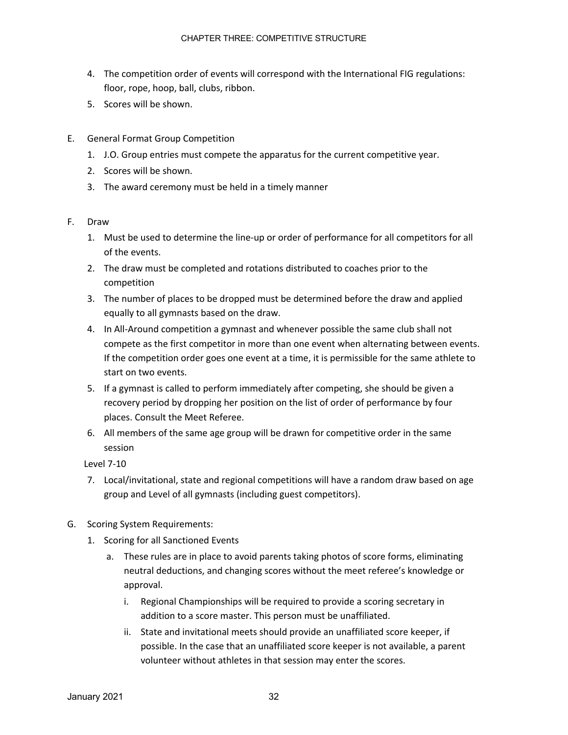- 4. The competition order of events will correspond with the International FIG regulations: floor, rope, hoop, ball, clubs, ribbon.
- 5. Scores will be shown.
- E. General Format Group Competition
	- 1. J.O. Group entries must compete the apparatus for the current competitive year.
	- 2. Scores will be shown.
	- 3. The award ceremony must be held in a timely manner
- F. Draw
	- 1. Must be used to determine the line-up or order of performance for all competitors for all of the events.
	- 2. The draw must be completed and rotations distributed to coaches prior to the competition
	- 3. The number of places to be dropped must be determined before the draw and applied equally to all gymnasts based on the draw.
	- 4. In All-Around competition a gymnast and whenever possible the same club shall not compete as the first competitor in more than one event when alternating between events. If the competition order goes one event at a time, it is permissible for the same athlete to start on two events.
	- 5. If a gymnast is called to perform immediately after competing, she should be given a recovery period by dropping her position on the list of order of performance by four places. Consult the Meet Referee.
	- 6. All members of the same age group will be drawn for competitive order in the same session

Level 7-10

- 7. Local/invitational, state and regional competitions will have a random draw based on age group and Level of all gymnasts (including guest competitors).
- G. Scoring System Requirements:
	- 1. Scoring for all Sanctioned Events
		- a. These rules are in place to avoid parents taking photos of score forms, eliminating neutral deductions, and changing scores without the meet referee's knowledge or approval.
			- i. Regional Championships will be required to provide a scoring secretary in addition to a score master. This person must be unaffiliated.
			- ii. State and invitational meets should provide an unaffiliated score keeper, if possible. In the case that an unaffiliated score keeper is not available, a parent volunteer without athletes in that session may enter the scores.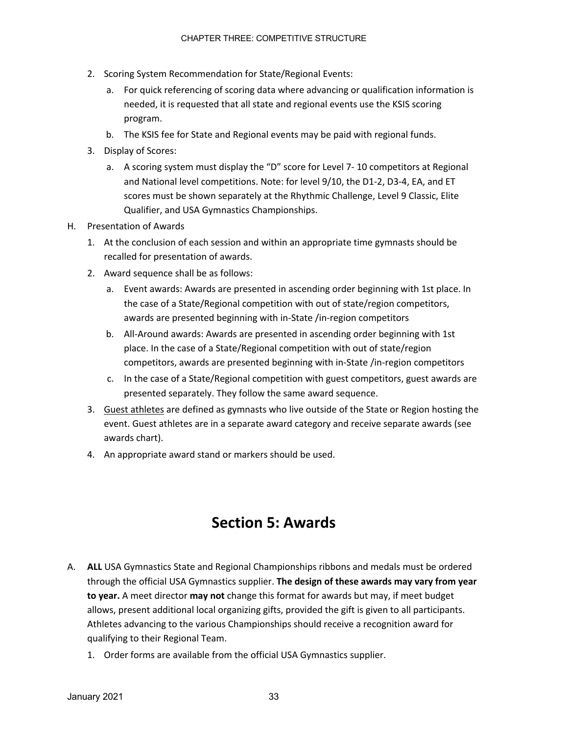- 2. Scoring System Recommendation for State/Regional Events:
	- a. For quick referencing of scoring data where advancing or qualification information is needed, it is requested that all state and regional events use the KSIS scoring program.
	- b. The KSIS fee for State and Regional events may be paid with regional funds.
- 3. Display of Scores:
	- a. A scoring system must display the "D" score for Level 7- 10 competitors at Regional and National level competitions. Note: for level 9/10, the D1-2, D3-4, EA, and ET scores must be shown separately at the Rhythmic Challenge, Level 9 Classic, Elite Qualifier, and USA Gymnastics Championships.
- H. Presentation of Awards
	- 1. At the conclusion of each session and within an appropriate time gymnasts should be recalled for presentation of awards.
	- 2. Award sequence shall be as follows:
		- a. Event awards: Awards are presented in ascending order beginning with 1st place. In the case of a State/Regional competition with out of state/region competitors, awards are presented beginning with in-State /in-region competitors
		- b. All-Around awards: Awards are presented in ascending order beginning with 1st place. In the case of a State/Regional competition with out of state/region competitors, awards are presented beginning with in-State /in-region competitors
		- c. In the case of a State/Regional competition with guest competitors, guest awards are presented separately. They follow the same award sequence.
	- 3. Guest athletes are defined as gymnasts who live outside of the State or Region hosting the event. Guest athletes are in a separate award category and receive separate awards (see awards chart).
	- 4. An appropriate award stand or markers should be used.

# **Section 5: Awards**

- A. **ALL** USA Gymnastics State and Regional Championships ribbons and medals must be ordered through the official USA Gymnastics supplier. **The design of these awards may vary from year to year.** A meet director **may not** change this format for awards but may, if meet budget allows, present additional local organizing gifts, provided the gift is given to all participants. Athletes advancing to the various Championships should receive a recognition award for qualifying to their Regional Team.
	- 1. Order forms are available from the official USA Gymnastics supplier.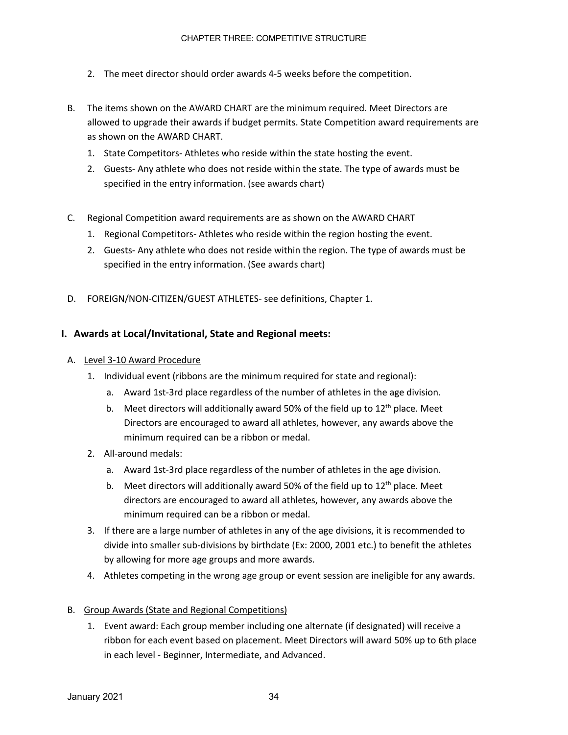- 2. The meet director should order awards 4-5 weeks before the competition.
- B. The items shown on the AWARD CHART are the minimum required. Meet Directors are allowed to upgrade their awards if budget permits. State Competition award requirements are as shown on the AWARD CHART.
	- 1. State Competitors- Athletes who reside within the state hosting the event.
	- 2. Guests- Any athlete who does not reside within the state. The type of awards must be specified in the entry information. (see awards chart)
- C. Regional Competition award requirements are as shown on the AWARD CHART
	- 1. Regional Competitors- Athletes who reside within the region hosting the event.
	- 2. Guests- Any athlete who does not reside within the region. The type of awards must be specified in the entry information. (See awards chart)
- D. FOREIGN/NON-CITIZEN/GUEST ATHLETES- see definitions, Chapter 1.

#### **I. Awards at Local/Invitational, State and Regional meets:**

- A. Level 3-10 Award Procedure
	- 1. Individual event (ribbons are the minimum required for state and regional):
		- a. Award 1st-3rd place regardless of the number of athletes in the age division.
		- b. Meet directors will additionally award 50% of the field up to  $12<sup>th</sup>$  place. Meet Directors are encouraged to award all athletes, however, any awards above the minimum required can be a ribbon or medal.
	- 2. All-around medals:
		- a. Award 1st-3rd place regardless of the number of athletes in the age division.
		- b. Meet directors will additionally award 50% of the field up to  $12<sup>th</sup>$  place. Meet directors are encouraged to award all athletes, however, any awards above the minimum required can be a ribbon or medal.
	- 3. If there are a large number of athletes in any of the age divisions, it is recommended to divide into smaller sub-divisions by birthdate (Ex: 2000, 2001 etc.) to benefit the athletes by allowing for more age groups and more awards.
	- 4. Athletes competing in the wrong age group or event session are ineligible for any awards.

#### B. Group Awards (State and Regional Competitions)

1. Event award: Each group member including one alternate (if designated) will receive a ribbon for each event based on placement. Meet Directors will award 50% up to 6th place in each level - Beginner, Intermediate, and Advanced.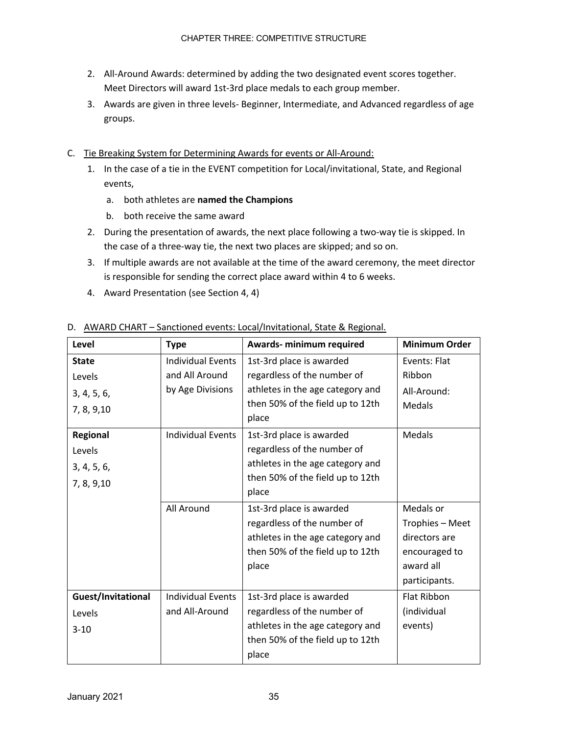- 2. All-Around Awards: determined by adding the two designated event scores together. Meet Directors will award 1st-3rd place medals to each group member.
- 3. Awards are given in three levels- Beginner, Intermediate, and Advanced regardless of age groups.
- C. Tie Breaking System for Determining Awards for events or All-Around:
	- 1. In the case of a tie in the EVENT competition for Local/invitational, State, and Regional events,
		- a. both athletes are **named the Champions**
		- b. both receive the same award
	- 2. During the presentation of awards, the next place following a two-way tie is skipped. In the case of a three-way tie, the next two places are skipped; and so on.
	- 3. If multiple awards are not available at the time of the award ceremony, the meet director is responsible for sending the correct place award within 4 to 6 weeks.
	- 4. Award Presentation (see Section 4, 4)

| Level              | <b>Type</b>              | Awards- minimum required                    | <b>Minimum Order</b> |
|--------------------|--------------------------|---------------------------------------------|----------------------|
| <b>State</b>       | <b>Individual Events</b> | 1st-3rd place is awarded                    | Events: Flat         |
| Levels             | and All Around           | Ribbon<br>regardless of the number of       |                      |
| 3, 4, 5, 6,        | by Age Divisions         | athletes in the age category and            | All-Around:          |
| 7, 8, 9, 10        |                          | then 50% of the field up to 12th            | <b>Medals</b>        |
|                    |                          | place                                       |                      |
| Regional           | <b>Individual Events</b> | 1st-3rd place is awarded                    | Medals               |
| Levels             |                          | regardless of the number of                 |                      |
| 3, 4, 5, 6,        |                          | athletes in the age category and            |                      |
| 7, 8, 9, 10        |                          | then 50% of the field up to 12th            |                      |
|                    |                          | place                                       |                      |
|                    | All Around               | 1st-3rd place is awarded                    | Medals or            |
|                    |                          | regardless of the number of                 | Trophies - Meet      |
|                    |                          | athletes in the age category and            | directors are        |
|                    |                          | then 50% of the field up to 12th            | encouraged to        |
|                    |                          | place                                       | award all            |
|                    |                          |                                             | participants.        |
| Guest/Invitational | <b>Individual Events</b> | 1st-3rd place is awarded                    | <b>Flat Ribbon</b>   |
| Levels             | and All-Around           | regardless of the number of                 | (individual          |
| $3 - 10$           |                          | athletes in the age category and<br>events) |                      |
|                    |                          | then 50% of the field up to 12th            |                      |
|                    |                          | place                                       |                      |

#### D. AWARD CHART – Sanctioned events: Local/Invitational, State & Regional.